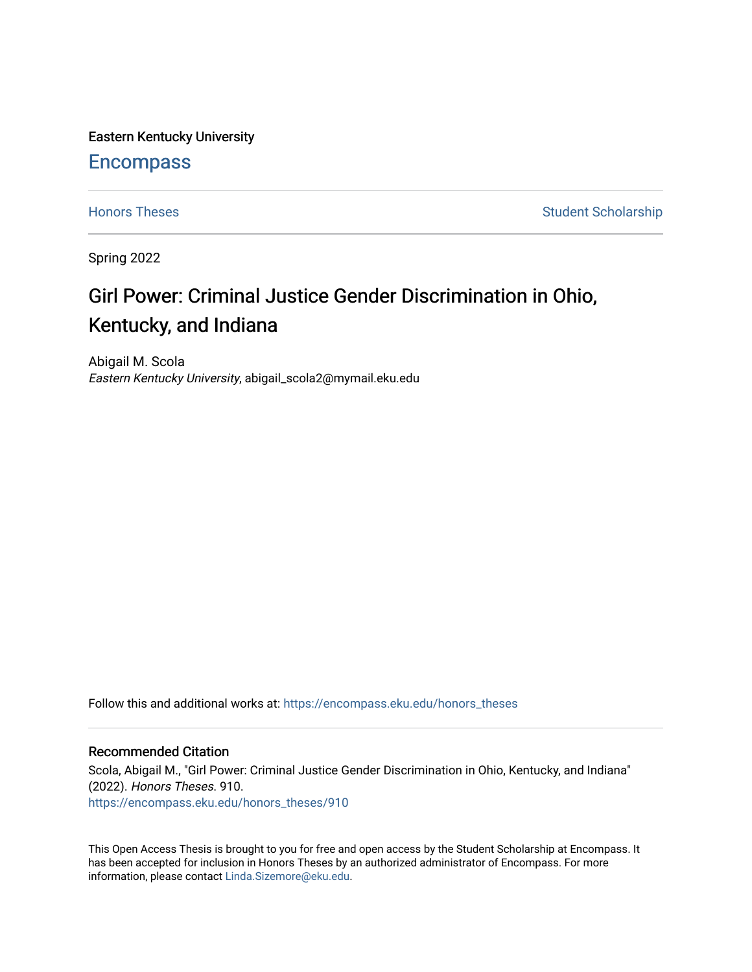Eastern Kentucky University

# **Encompass**

[Honors Theses](https://encompass.eku.edu/honors_theses) **Student Scholarship** Student Scholarship

Spring 2022

# Girl Power: Criminal Justice Gender Discrimination in Ohio, Kentucky, and Indiana

Abigail M. Scola Eastern Kentucky University, abigail\_scola2@mymail.eku.edu

Follow this and additional works at: [https://encompass.eku.edu/honors\\_theses](https://encompass.eku.edu/honors_theses?utm_source=encompass.eku.edu%2Fhonors_theses%2F910&utm_medium=PDF&utm_campaign=PDFCoverPages) 

#### Recommended Citation

Scola, Abigail M., "Girl Power: Criminal Justice Gender Discrimination in Ohio, Kentucky, and Indiana" (2022). Honors Theses. 910. [https://encompass.eku.edu/honors\\_theses/910](https://encompass.eku.edu/honors_theses/910?utm_source=encompass.eku.edu%2Fhonors_theses%2F910&utm_medium=PDF&utm_campaign=PDFCoverPages) 

This Open Access Thesis is brought to you for free and open access by the Student Scholarship at Encompass. It has been accepted for inclusion in Honors Theses by an authorized administrator of Encompass. For more information, please contact [Linda.Sizemore@eku.edu.](mailto:Linda.Sizemore@eku.edu)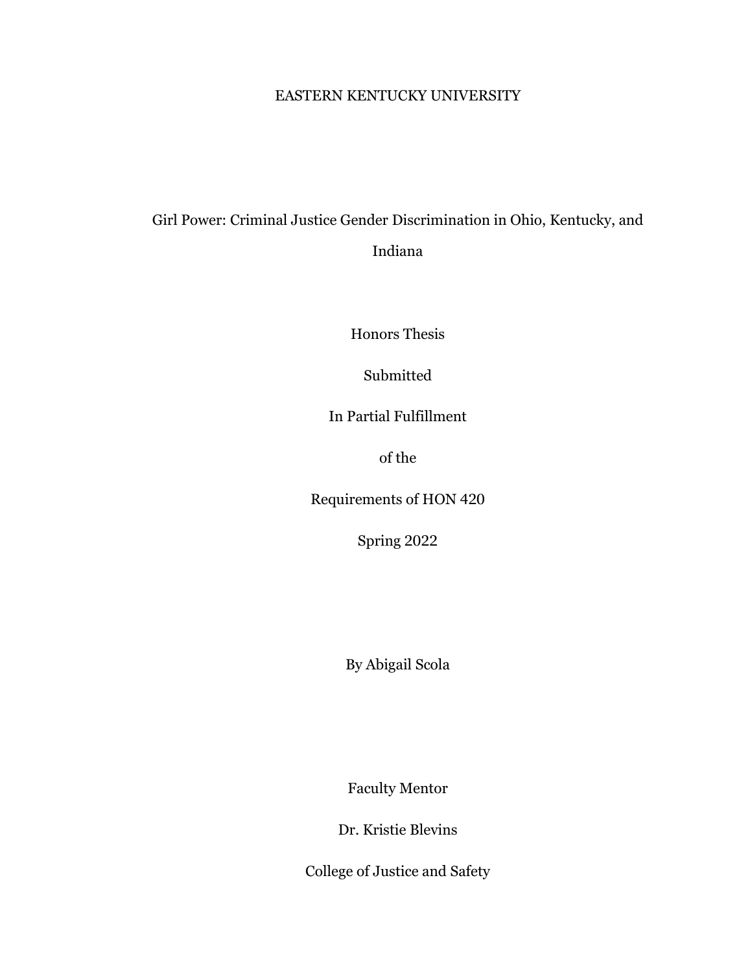# EASTERN KENTUCKY UNIVERSITY

# Girl Power: Criminal Justice Gender Discrimination in Ohio, Kentucky, and Indiana

Honors Thesis

Submitted

In Partial Fulfillment

of the

Requirements of HON 420

Spring 2022

By Abigail Scola

Faculty Mentor

Dr. Kristie Blevins

College of Justice and Safety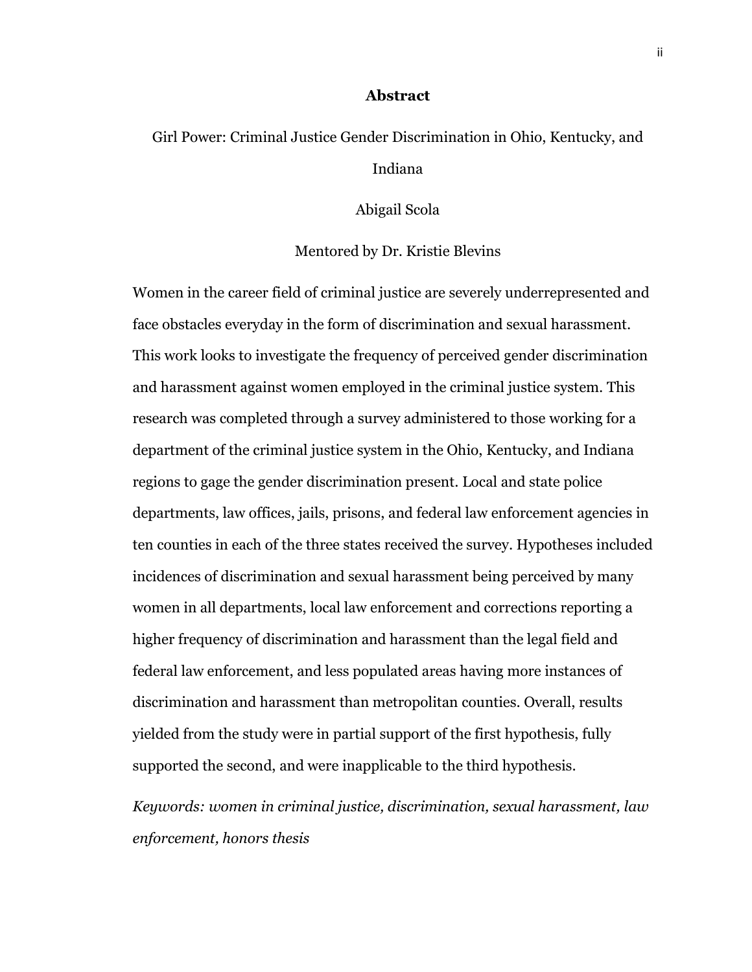#### **Abstract**

# Girl Power: Criminal Justice Gender Discrimination in Ohio, Kentucky, and Indiana

Abigail Scola

#### Mentored by Dr. Kristie Blevins

Women in the career field of criminal justice are severely underrepresented and face obstacles everyday in the form of discrimination and sexual harassment. This work looks to investigate the frequency of perceived gender discrimination and harassment against women employed in the criminal justice system. This research was completed through a survey administered to those working for a department of the criminal justice system in the Ohio, Kentucky, and Indiana regions to gage the gender discrimination present. Local and state police departments, law offices, jails, prisons, and federal law enforcement agencies in ten counties in each of the three states received the survey. Hypotheses included incidences of discrimination and sexual harassment being perceived by many women in all departments, local law enforcement and corrections reporting a higher frequency of discrimination and harassment than the legal field and federal law enforcement, and less populated areas having more instances of discrimination and harassment than metropolitan counties. Overall, results yielded from the study were in partial support of the first hypothesis, fully supported the second, and were inapplicable to the third hypothesis.

*Keywords: women in criminal justice, discrimination, sexual harassment, law enforcement, honors thesis*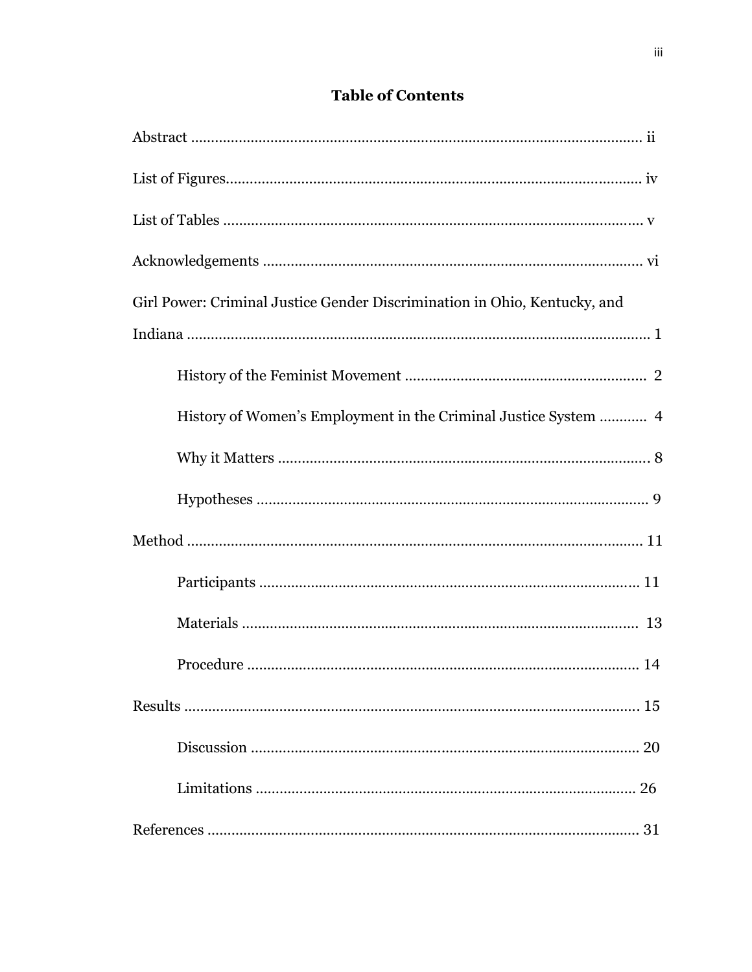# **Table of Contents**

| Girl Power: Criminal Justice Gender Discrimination in Ohio, Kentucky, and |
|---------------------------------------------------------------------------|
|                                                                           |
|                                                                           |
| History of Women's Employment in the Criminal Justice System  4           |
|                                                                           |
|                                                                           |
|                                                                           |
|                                                                           |
|                                                                           |
|                                                                           |
| 15                                                                        |
|                                                                           |
| 26                                                                        |
| 31                                                                        |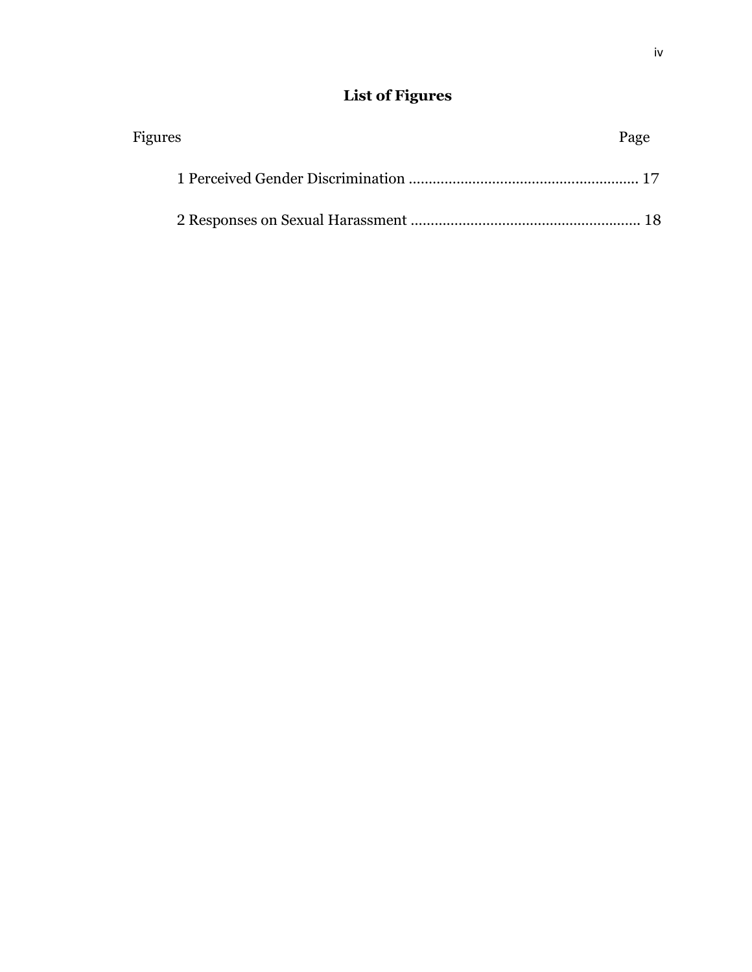# **List of Figures**

| Figures | Page |
|---------|------|
|         |      |
|         |      |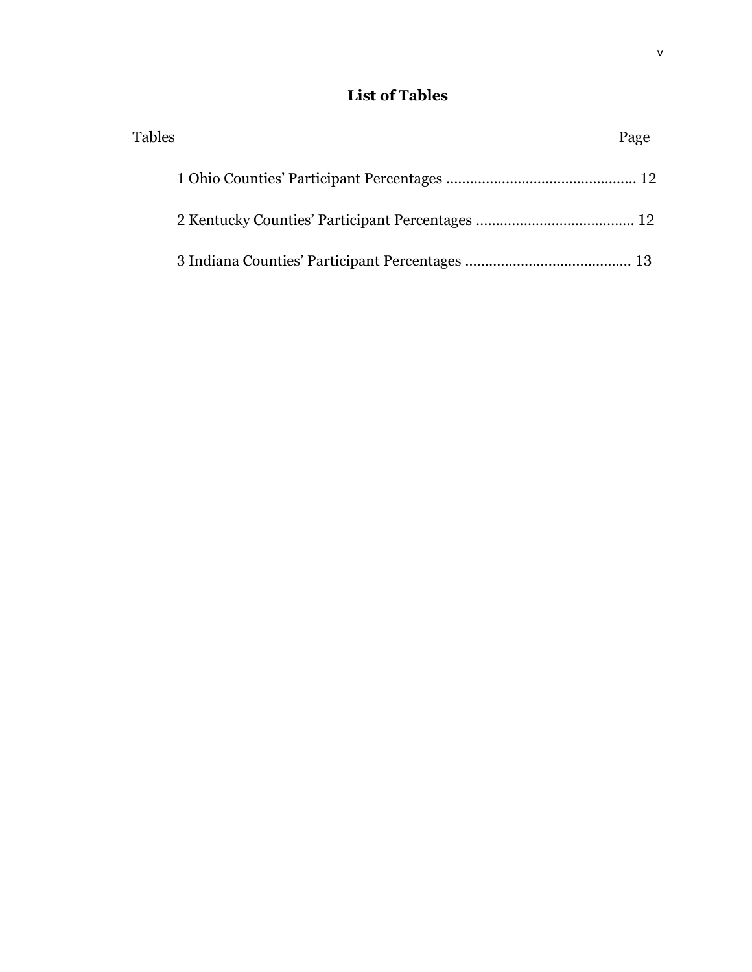# **List of Tables**

| Tables | Page |
|--------|------|
|        |      |
|        |      |
|        |      |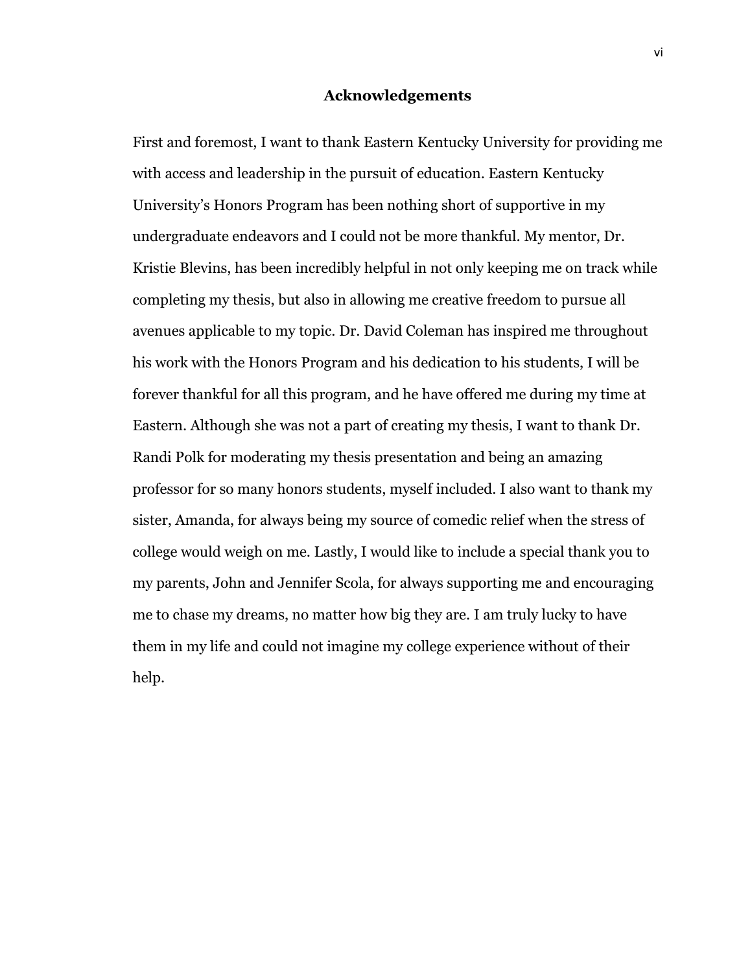#### **Acknowledgements**

First and foremost, I want to thank Eastern Kentucky University for providing me with access and leadership in the pursuit of education. Eastern Kentucky University's Honors Program has been nothing short of supportive in my undergraduate endeavors and I could not be more thankful. My mentor, Dr. Kristie Blevins, has been incredibly helpful in not only keeping me on track while completing my thesis, but also in allowing me creative freedom to pursue all avenues applicable to my topic. Dr. David Coleman has inspired me throughout his work with the Honors Program and his dedication to his students, I will be forever thankful for all this program, and he have offered me during my time at Eastern. Although she was not a part of creating my thesis, I want to thank Dr. Randi Polk for moderating my thesis presentation and being an amazing professor for so many honors students, myself included. I also want to thank my sister, Amanda, for always being my source of comedic relief when the stress of college would weigh on me. Lastly, I would like to include a special thank you to my parents, John and Jennifer Scola, for always supporting me and encouraging me to chase my dreams, no matter how big they are. I am truly lucky to have them in my life and could not imagine my college experience without of their help.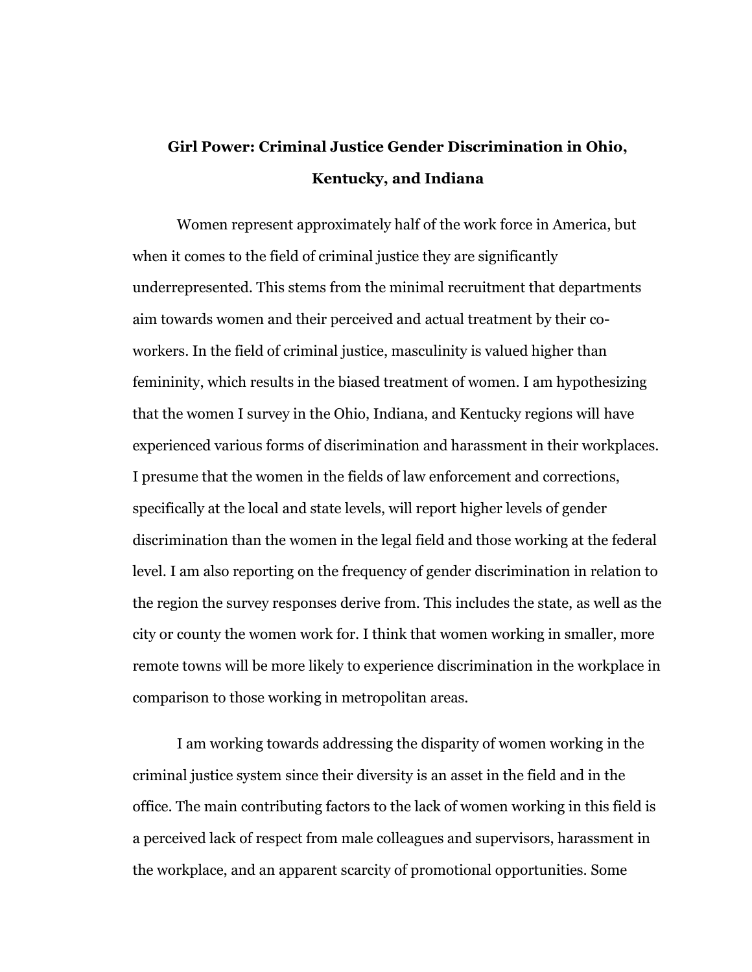# **Girl Power: Criminal Justice Gender Discrimination in Ohio, Kentucky, and Indiana**

Women represent approximately half of the work force in America, but when it comes to the field of criminal justice they are significantly underrepresented. This stems from the minimal recruitment that departments aim towards women and their perceived and actual treatment by their coworkers. In the field of criminal justice, masculinity is valued higher than femininity, which results in the biased treatment of women. I am hypothesizing that the women I survey in the Ohio, Indiana, and Kentucky regions will have experienced various forms of discrimination and harassment in their workplaces. I presume that the women in the fields of law enforcement and corrections, specifically at the local and state levels, will report higher levels of gender discrimination than the women in the legal field and those working at the federal level. I am also reporting on the frequency of gender discrimination in relation to the region the survey responses derive from. This includes the state, as well as the city or county the women work for. I think that women working in smaller, more remote towns will be more likely to experience discrimination in the workplace in comparison to those working in metropolitan areas.

I am working towards addressing the disparity of women working in the criminal justice system since their diversity is an asset in the field and in the office. The main contributing factors to the lack of women working in this field is a perceived lack of respect from male colleagues and supervisors, harassment in the workplace, and an apparent scarcity of promotional opportunities. Some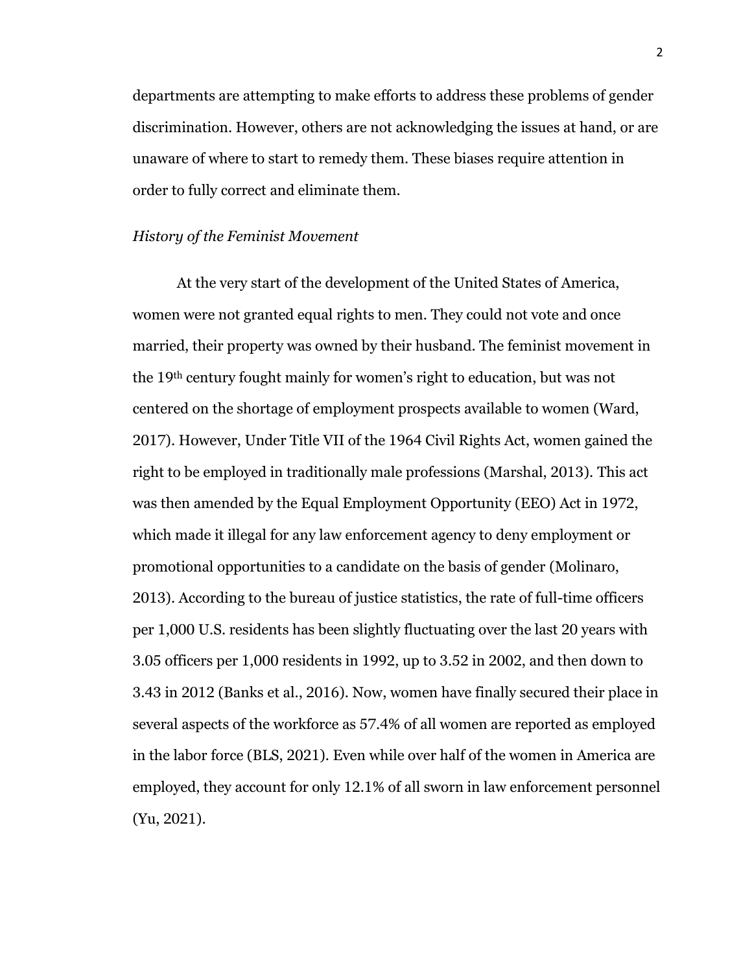departments are attempting to make efforts to address these problems of gender discrimination. However, others are not acknowledging the issues at hand, or are unaware of where to start to remedy them. These biases require attention in order to fully correct and eliminate them.

#### *History of the Feminist Movement*

At the very start of the development of the United States of America, women were not granted equal rights to men. They could not vote and once married, their property was owned by their husband. The feminist movement in the 19th century fought mainly for women's right to education, but was not centered on the shortage of employment prospects available to women (Ward, 2017). However, Under Title VII of the 1964 Civil Rights Act, women gained the right to be employed in traditionally male professions (Marshal, 2013). This act was then amended by the Equal Employment Opportunity (EEO) Act in 1972, which made it illegal for any law enforcement agency to deny employment or promotional opportunities to a candidate on the basis of gender (Molinaro, 2013). According to the bureau of justice statistics, the rate of full-time officers per 1,000 U.S. residents has been slightly fluctuating over the last 20 years with 3.05 officers per 1,000 residents in 1992, up to 3.52 in 2002, and then down to 3.43 in 2012 (Banks et al., 2016). Now, women have finally secured their place in several aspects of the workforce as 57.4% of all women are reported as employed in the labor force (BLS, 2021). Even while over half of the women in America are employed, they account for only 12.1% of all sworn in law enforcement personnel (Yu, 2021).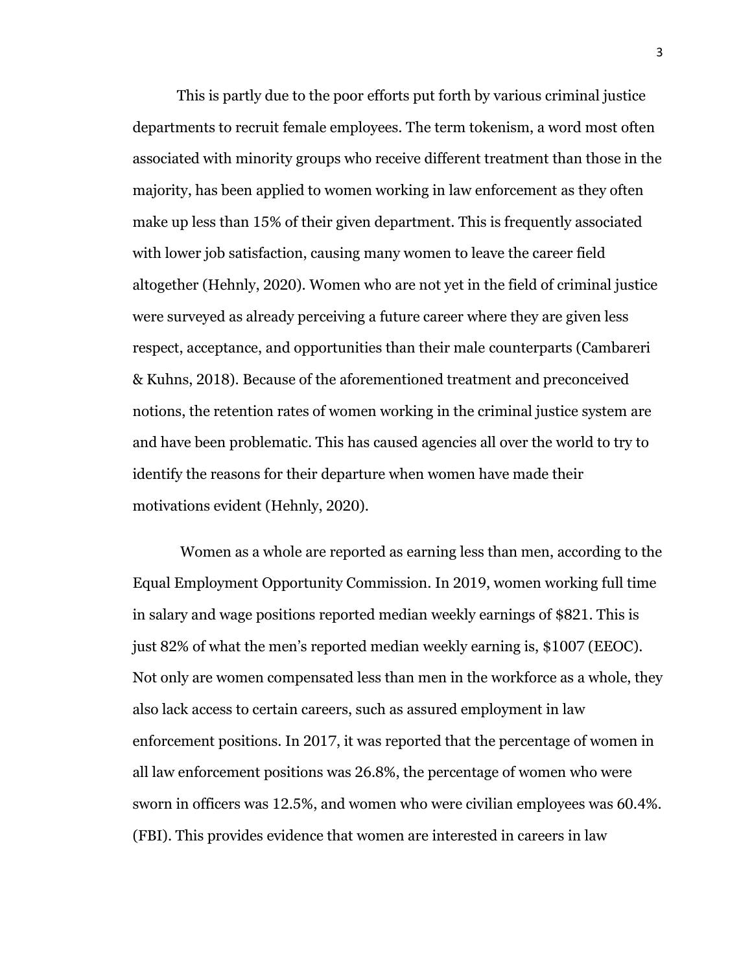This is partly due to the poor efforts put forth by various criminal justice departments to recruit female employees. The term tokenism, a word most often associated with minority groups who receive different treatment than those in the majority, has been applied to women working in law enforcement as they often make up less than 15% of their given department. This is frequently associated with lower job satisfaction, causing many women to leave the career field altogether (Hehnly, 2020). Women who are not yet in the field of criminal justice were surveyed as already perceiving a future career where they are given less respect, acceptance, and opportunities than their male counterparts (Cambareri & Kuhns, 2018). Because of the aforementioned treatment and preconceived notions, the retention rates of women working in the criminal justice system are and have been problematic. This has caused agencies all over the world to try to identify the reasons for their departure when women have made their motivations evident (Hehnly, 2020).

Women as a whole are reported as earning less than men, according to the Equal Employment Opportunity Commission. In 2019, women working full time in salary and wage positions reported median weekly earnings of \$821. This is just 82% of what the men's reported median weekly earning is, \$1007 (EEOC). Not only are women compensated less than men in the workforce as a whole, they also lack access to certain careers, such as assured employment in law enforcement positions. In 2017, it was reported that the percentage of women in all law enforcement positions was 26.8%, the percentage of women who were sworn in officers was 12.5%, and women who were civilian employees was 60.4%. (FBI). This provides evidence that women are interested in careers in law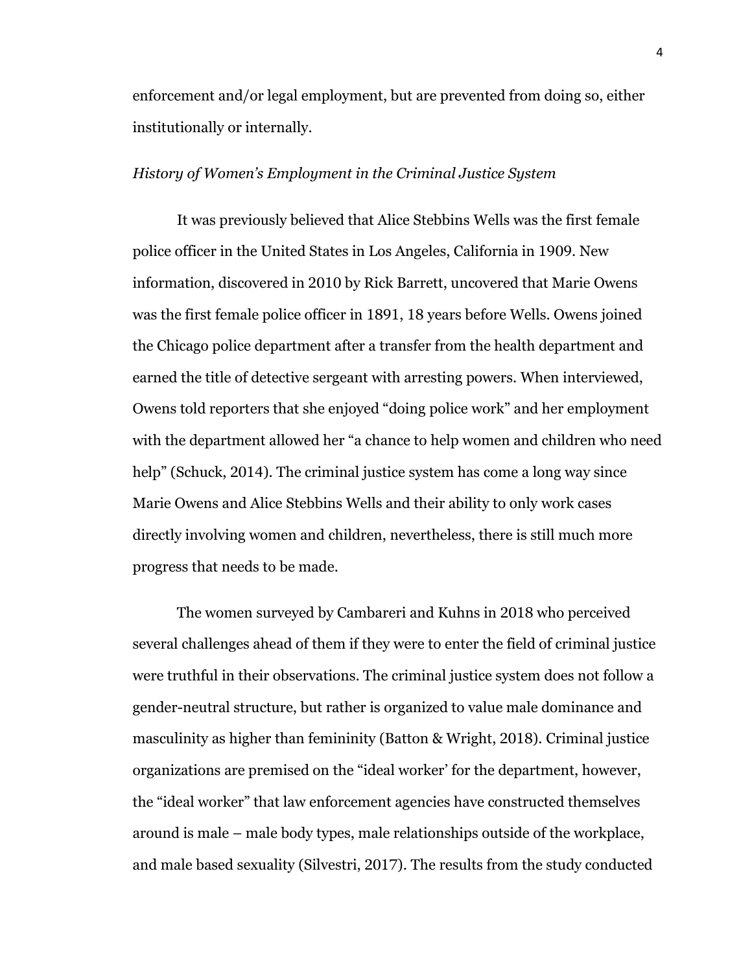enforcement and/or legal employment, but are prevented from doing so, either institutionally or internally.

#### *History of Women's Employment in the Criminal Justice System*

It was previously believed that Alice Stebbins Wells was the first female police officer in the United States in Los Angeles, California in 1909. New information, discovered in 2010 by Rick Barrett, uncovered that Marie Owens was the first female police officer in 1891, 18 years before Wells. Owens joined the Chicago police department after a transfer from the health department and earned the title of detective sergeant with arresting powers. When interviewed, Owens told reporters that she enjoyed "doing police work" and her employment with the department allowed her "a chance to help women and children who need help" (Schuck, 2014). The criminal justice system has come a long way since Marie Owens and Alice Stebbins Wells and their ability to only work cases directly involving women and children, nevertheless, there is still much more progress that needs to be made.

The women surveyed by Cambareri and Kuhns in 2018 who perceived several challenges ahead of them if they were to enter the field of criminal justice were truthful in their observations. The criminal justice system does not follow a gender-neutral structure, but rather is organized to value male dominance and masculinity as higher than femininity (Batton & Wright, 2018). Criminal justice organizations are premised on the "ideal worker' for the department, however, the "ideal worker" that law enforcement agencies have constructed themselves around is male – male body types, male relationships outside of the workplace, and male based sexuality (Silvestri, 2017). The results from the study conducted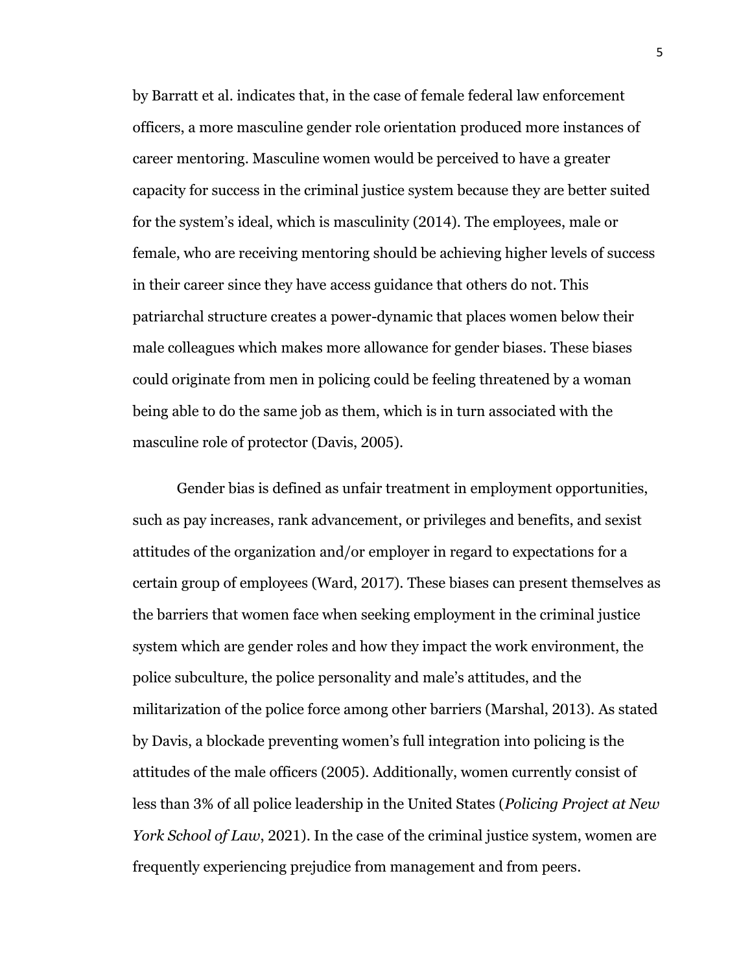by Barratt et al. indicates that, in the case of female federal law enforcement officers, a more masculine gender role orientation produced more instances of career mentoring. Masculine women would be perceived to have a greater capacity for success in the criminal justice system because they are better suited for the system's ideal, which is masculinity (2014). The employees, male or female, who are receiving mentoring should be achieving higher levels of success in their career since they have access guidance that others do not. This patriarchal structure creates a power-dynamic that places women below their male colleagues which makes more allowance for gender biases. These biases could originate from men in policing could be feeling threatened by a woman being able to do the same job as them, which is in turn associated with the masculine role of protector (Davis, 2005).

Gender bias is defined as unfair treatment in employment opportunities, such as pay increases, rank advancement, or privileges and benefits, and sexist attitudes of the organization and/or employer in regard to expectations for a certain group of employees (Ward, 2017). These biases can present themselves as the barriers that women face when seeking employment in the criminal justice system which are gender roles and how they impact the work environment, the police subculture, the police personality and male's attitudes, and the militarization of the police force among other barriers (Marshal, 2013). As stated by Davis, a blockade preventing women's full integration into policing is the attitudes of the male officers (2005). Additionally, women currently consist of less than 3% of all police leadership in the United States (*Policing Project at New York School of Law*, 2021). In the case of the criminal justice system, women are frequently experiencing prejudice from management and from peers.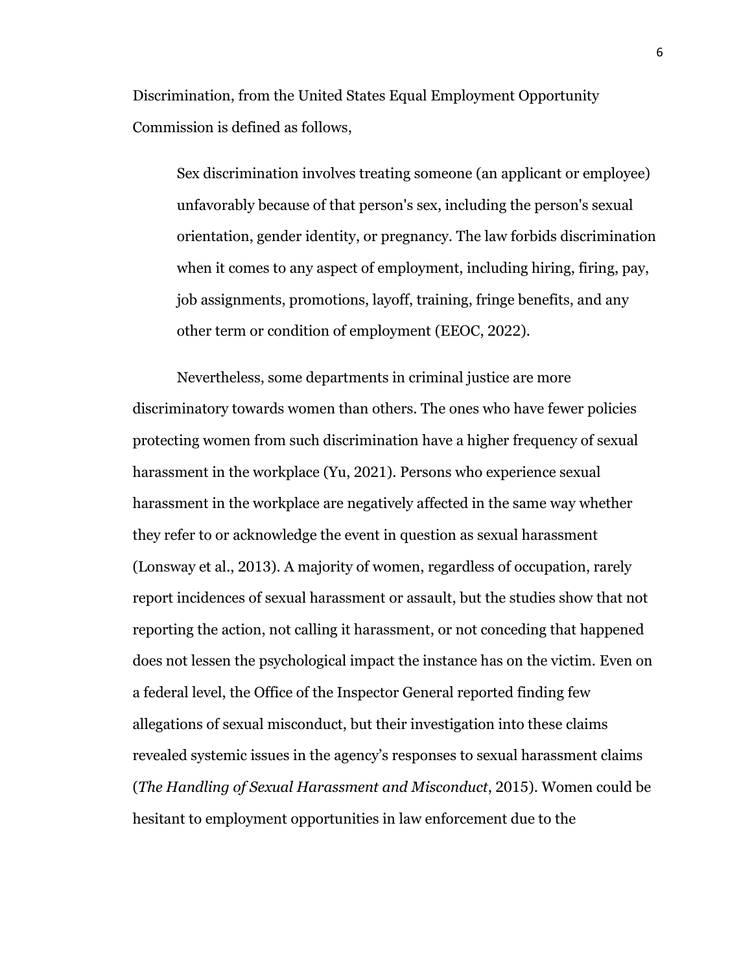Discrimination, from the United States Equal Employment Opportunity Commission is defined as follows,

Sex discrimination involves treating someone (an applicant or employee) unfavorably because of that person's sex, including the person's sexual orientation, gender identity, or pregnancy. The law forbids discrimination when it comes to any aspect of employment, including hiring, firing, pay, job assignments, promotions, layoff, training, fringe benefits, and any other term or condition of employment (EEOC, 2022).

Nevertheless, some departments in criminal justice are more discriminatory towards women than others. The ones who have fewer policies protecting women from such discrimination have a higher frequency of sexual harassment in the workplace (Yu, 2021). Persons who experience sexual harassment in the workplace are negatively affected in the same way whether they refer to or acknowledge the event in question as sexual harassment (Lonsway et al., 2013). A majority of women, regardless of occupation, rarely report incidences of sexual harassment or assault, but the studies show that not reporting the action, not calling it harassment, or not conceding that happened does not lessen the psychological impact the instance has on the victim. Even on a federal level, the Office of the Inspector General reported finding few allegations of sexual misconduct, but their investigation into these claims revealed systemic issues in the agency's responses to sexual harassment claims (*The Handling of Sexual Harassment and Misconduct*, 2015). Women could be hesitant to employment opportunities in law enforcement due to the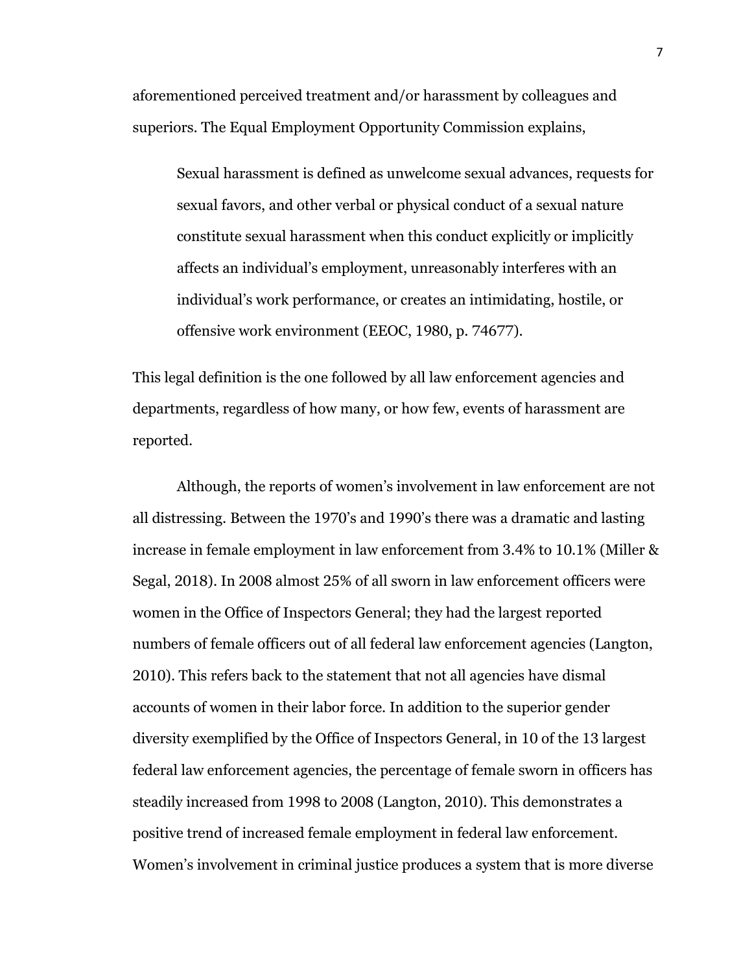aforementioned perceived treatment and/or harassment by colleagues and superiors. The Equal Employment Opportunity Commission explains,

Sexual harassment is defined as unwelcome sexual advances, requests for sexual favors, and other verbal or physical conduct of a sexual nature constitute sexual harassment when this conduct explicitly or implicitly affects an individual's employment, unreasonably interferes with an individual's work performance, or creates an intimidating, hostile, or offensive work environment (EEOC, 1980, p. 74677).

This legal definition is the one followed by all law enforcement agencies and departments, regardless of how many, or how few, events of harassment are reported.

Although, the reports of women's involvement in law enforcement are not all distressing. Between the 1970's and 1990's there was a dramatic and lasting increase in female employment in law enforcement from 3.4% to 10.1% (Miller & Segal, 2018). In 2008 almost 25% of all sworn in law enforcement officers were women in the Office of Inspectors General; they had the largest reported numbers of female officers out of all federal law enforcement agencies (Langton, 2010). This refers back to the statement that not all agencies have dismal accounts of women in their labor force. In addition to the superior gender diversity exemplified by the Office of Inspectors General, in 10 of the 13 largest federal law enforcement agencies, the percentage of female sworn in officers has steadily increased from 1998 to 2008 (Langton, 2010). This demonstrates a positive trend of increased female employment in federal law enforcement. Women's involvement in criminal justice produces a system that is more diverse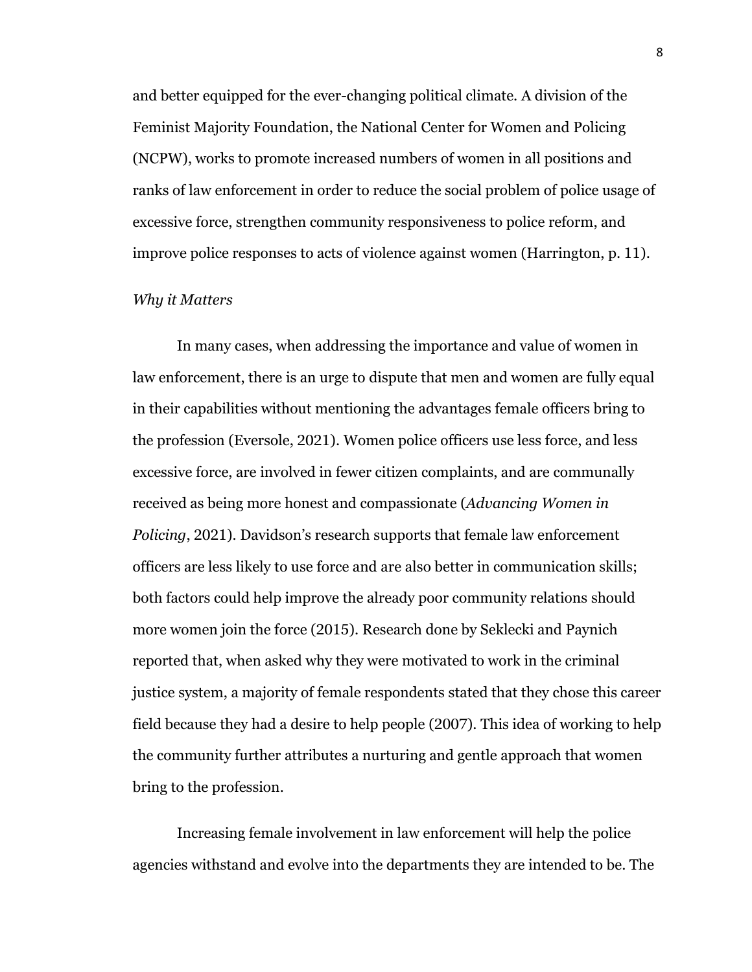and better equipped for the ever-changing political climate. A division of the Feminist Majority Foundation, the National Center for Women and Policing (NCPW), works to promote increased numbers of women in all positions and ranks of law enforcement in order to reduce the social problem of police usage of excessive force, strengthen community responsiveness to police reform, and improve police responses to acts of violence against women (Harrington, p. 11).

# *Why it Matters*

In many cases, when addressing the importance and value of women in law enforcement, there is an urge to dispute that men and women are fully equal in their capabilities without mentioning the advantages female officers bring to the profession (Eversole, 2021). Women police officers use less force, and less excessive force, are involved in fewer citizen complaints, and are communally received as being more honest and compassionate (*Advancing Women in Policing*, 2021). Davidson's research supports that female law enforcement officers are less likely to use force and are also better in communication skills; both factors could help improve the already poor community relations should more women join the force (2015). Research done by Seklecki and Paynich reported that, when asked why they were motivated to work in the criminal justice system, a majority of female respondents stated that they chose this career field because they had a desire to help people (2007). This idea of working to help the community further attributes a nurturing and gentle approach that women bring to the profession.

Increasing female involvement in law enforcement will help the police agencies withstand and evolve into the departments they are intended to be. The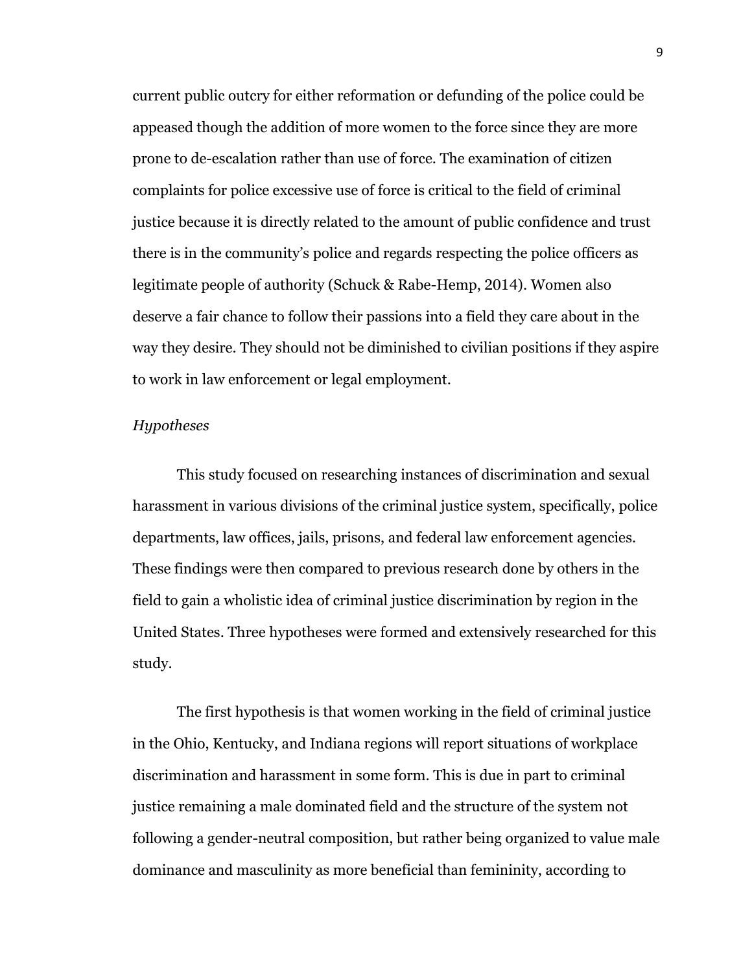current public outcry for either reformation or defunding of the police could be appeased though the addition of more women to the force since they are more prone to de-escalation rather than use of force. The examination of citizen complaints for police excessive use of force is critical to the field of criminal justice because it is directly related to the amount of public confidence and trust there is in the community's police and regards respecting the police officers as legitimate people of authority (Schuck & Rabe-Hemp, 2014). Women also deserve a fair chance to follow their passions into a field they care about in the way they desire. They should not be diminished to civilian positions if they aspire to work in law enforcement or legal employment.

# *Hypotheses*

This study focused on researching instances of discrimination and sexual harassment in various divisions of the criminal justice system, specifically, police departments, law offices, jails, prisons, and federal law enforcement agencies. These findings were then compared to previous research done by others in the field to gain a wholistic idea of criminal justice discrimination by region in the United States. Three hypotheses were formed and extensively researched for this study.

The first hypothesis is that women working in the field of criminal justice in the Ohio, Kentucky, and Indiana regions will report situations of workplace discrimination and harassment in some form. This is due in part to criminal justice remaining a male dominated field and the structure of the system not following a gender-neutral composition, but rather being organized to value male dominance and masculinity as more beneficial than femininity, according to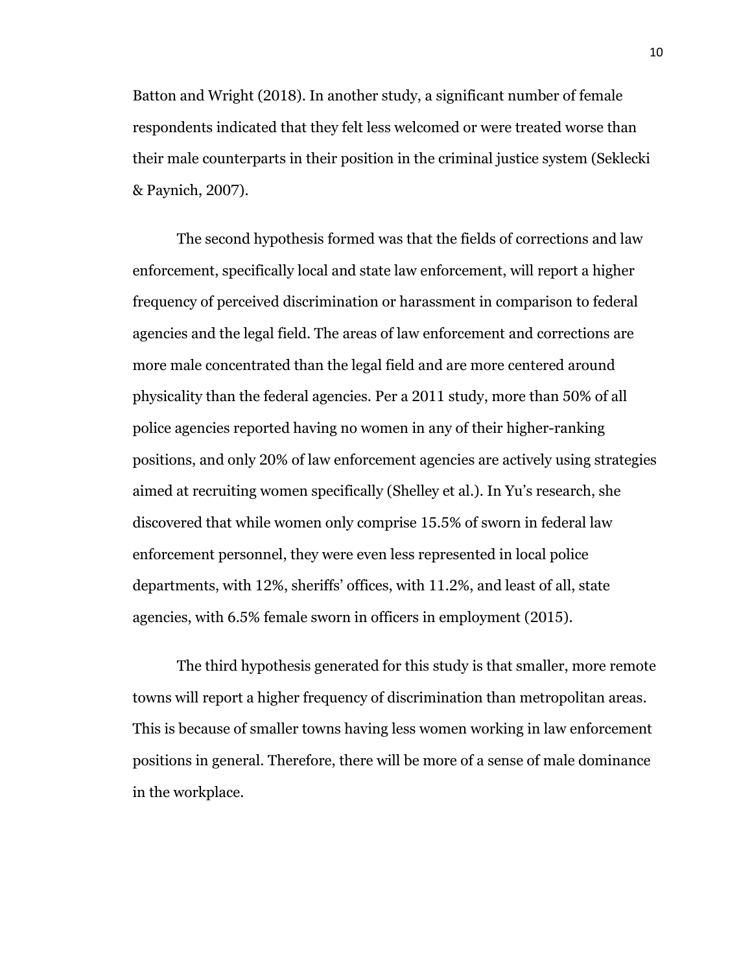Batton and Wright (2018). In another study, a significant number of female respondents indicated that they felt less welcomed or were treated worse than their male counterparts in their position in the criminal justice system (Seklecki & Paynich, 2007).

The second hypothesis formed was that the fields of corrections and law enforcement, specifically local and state law enforcement, will report a higher frequency of perceived discrimination or harassment in comparison to federal agencies and the legal field. The areas of law enforcement and corrections are more male concentrated than the legal field and are more centered around physicality than the federal agencies. Per a 2011 study, more than 50% of all police agencies reported having no women in any of their higher-ranking positions, and only 20% of law enforcement agencies are actively using strategies aimed at recruiting women specifically (Shelley et al.). In Yu's research, she discovered that while women only comprise 15.5% of sworn in federal law enforcement personnel, they were even less represented in local police departments, with 12%, sheriffs' offices, with 11.2%, and least of all, state agencies, with 6.5% female sworn in officers in employment (2015).

The third hypothesis generated for this study is that smaller, more remote towns will report a higher frequency of discrimination than metropolitan areas. This is because of smaller towns having less women working in law enforcement positions in general. Therefore, there will be more of a sense of male dominance in the workplace.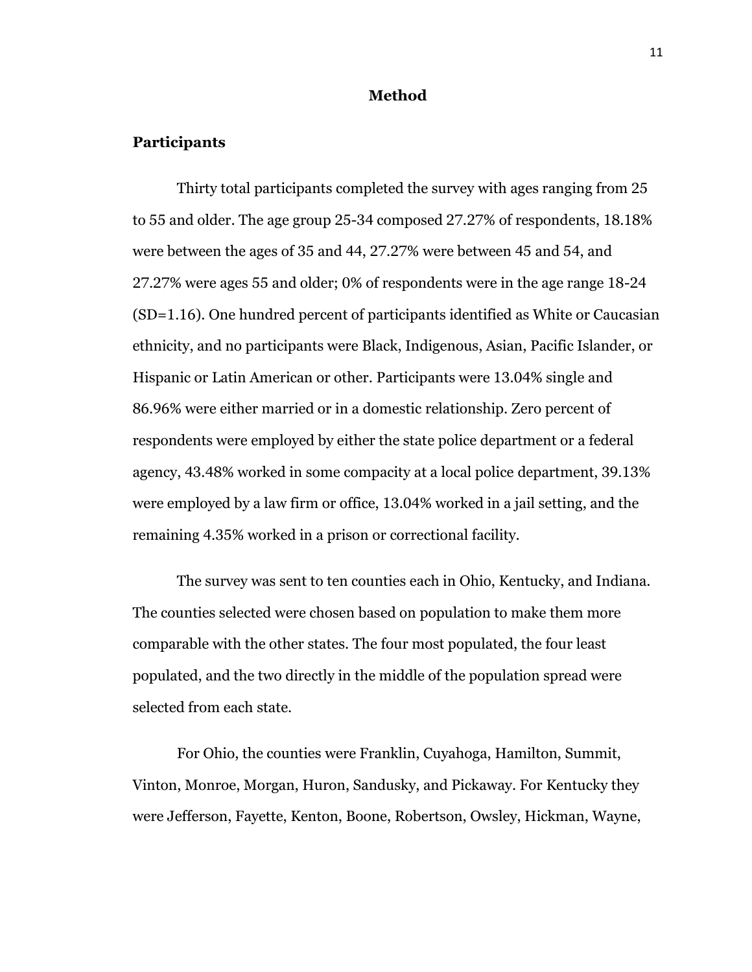#### **Method**

### **Participants**

Thirty total participants completed the survey with ages ranging from 25 to 55 and older. The age group 25-34 composed 27.27% of respondents, 18.18% were between the ages of 35 and 44, 27.27% were between 45 and 54, and 27.27% were ages 55 and older; 0% of respondents were in the age range 18-24 (SD=1.16). One hundred percent of participants identified as White or Caucasian ethnicity, and no participants were Black, Indigenous, Asian, Pacific Islander, or Hispanic or Latin American or other. Participants were 13.04% single and 86.96% were either married or in a domestic relationship. Zero percent of respondents were employed by either the state police department or a federal agency, 43.48% worked in some compacity at a local police department, 39.13% were employed by a law firm or office, 13.04% worked in a jail setting, and the remaining 4.35% worked in a prison or correctional facility.

The survey was sent to ten counties each in Ohio, Kentucky, and Indiana. The counties selected were chosen based on population to make them more comparable with the other states. The four most populated, the four least populated, and the two directly in the middle of the population spread were selected from each state.

For Ohio, the counties were Franklin, Cuyahoga, Hamilton, Summit, Vinton, Monroe, Morgan, Huron, Sandusky, and Pickaway. For Kentucky they were Jefferson, Fayette, Kenton, Boone, Robertson, Owsley, Hickman, Wayne,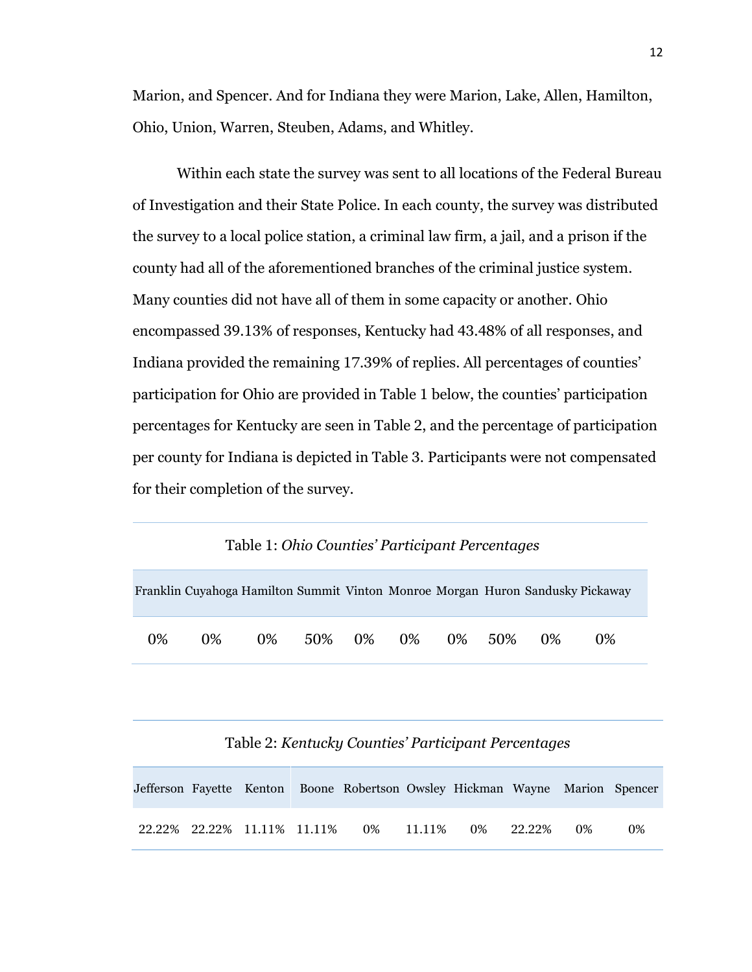Marion, and Spencer. And for Indiana they were Marion, Lake, Allen, Hamilton, Ohio, Union, Warren, Steuben, Adams, and Whitley.

Within each state the survey was sent to all locations of the Federal Bureau of Investigation and their State Police. In each county, the survey was distributed the survey to a local police station, a criminal law firm, a jail, and a prison if the county had all of the aforementioned branches of the criminal justice system. Many counties did not have all of them in some capacity or another. Ohio encompassed 39.13% of responses, Kentucky had 43.48% of all responses, and Indiana provided the remaining 17.39% of replies. All percentages of counties' participation for Ohio are provided in Table 1 below, the counties' participation percentages for Kentucky are seen in Table 2, and the percentage of participation per county for Indiana is depicted in Table 3. Participants were not compensated for their completion of the survey.

#### Table 1: *Ohio Counties' Participant Percentages*

|       | Franklin Cuyahoga Hamilton Summit Vinton Monroe Morgan Huron Sandusky Pickaway |                               |  |  |       |
|-------|--------------------------------------------------------------------------------|-------------------------------|--|--|-------|
| $0\%$ | $0\%$                                                                          | 0\% 50\% 0\% 0\% 0\% 50\% 0\% |  |  | $0\%$ |

### Table 2: *Kentucky Counties' Participant Percentages*

|  |  | Jefferson Fayette Kenton Boone Robertson Owsley Hickman Wayne Marion Spencer |  |    |    |
|--|--|------------------------------------------------------------------------------|--|----|----|
|  |  | 22.22% 22.22% 11.11% 11.11% 0% 11.11% 0% 22.22%                              |  | 0% | 0% |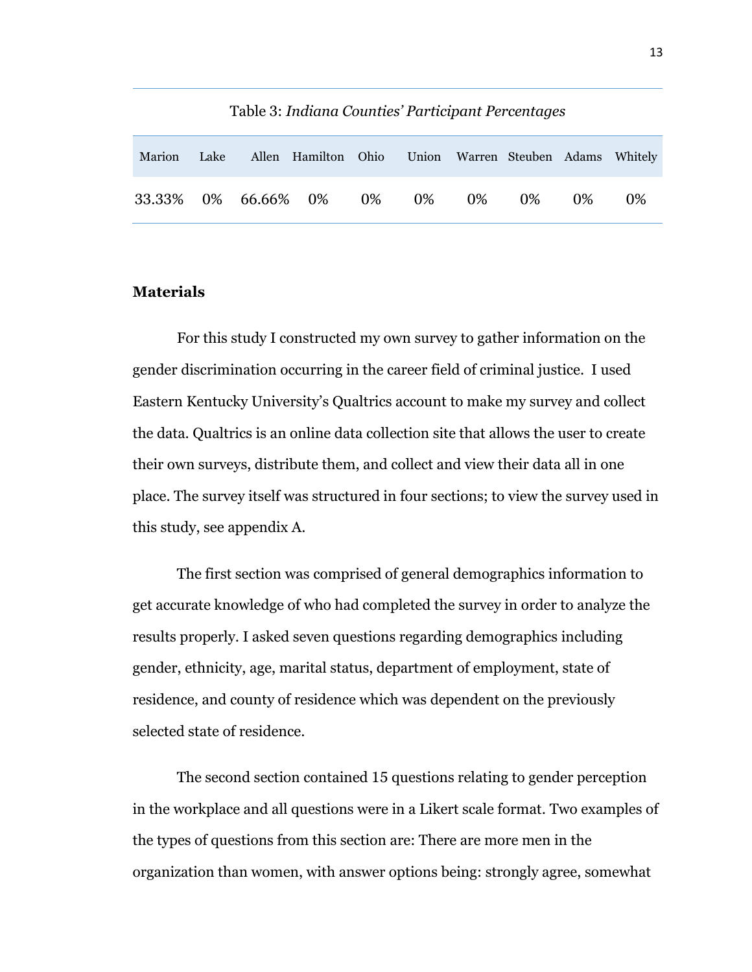| Marion |  | Lake Allen Hamilton Ohio Union Warren Steuben Adams Whitely |  |  |       |
|--------|--|-------------------------------------------------------------|--|--|-------|
|        |  | 33.33% 0% 66.66% 0% 0% 0% 0% 0% 0%                          |  |  | $0\%$ |

Table 3: *Indiana Counties' Participant Percentages*

# **Materials**

For this study I constructed my own survey to gather information on the gender discrimination occurring in the career field of criminal justice. I used Eastern Kentucky University's Qualtrics account to make my survey and collect the data. Qualtrics is an online data collection site that allows the user to create their own surveys, distribute them, and collect and view their data all in one place. The survey itself was structured in four sections; to view the survey used in this study, see appendix A.

The first section was comprised of general demographics information to get accurate knowledge of who had completed the survey in order to analyze the results properly. I asked seven questions regarding demographics including gender, ethnicity, age, marital status, department of employment, state of residence, and county of residence which was dependent on the previously selected state of residence.

The second section contained 15 questions relating to gender perception in the workplace and all questions were in a Likert scale format. Two examples of the types of questions from this section are: There are more men in the organization than women, with answer options being: strongly agree, somewhat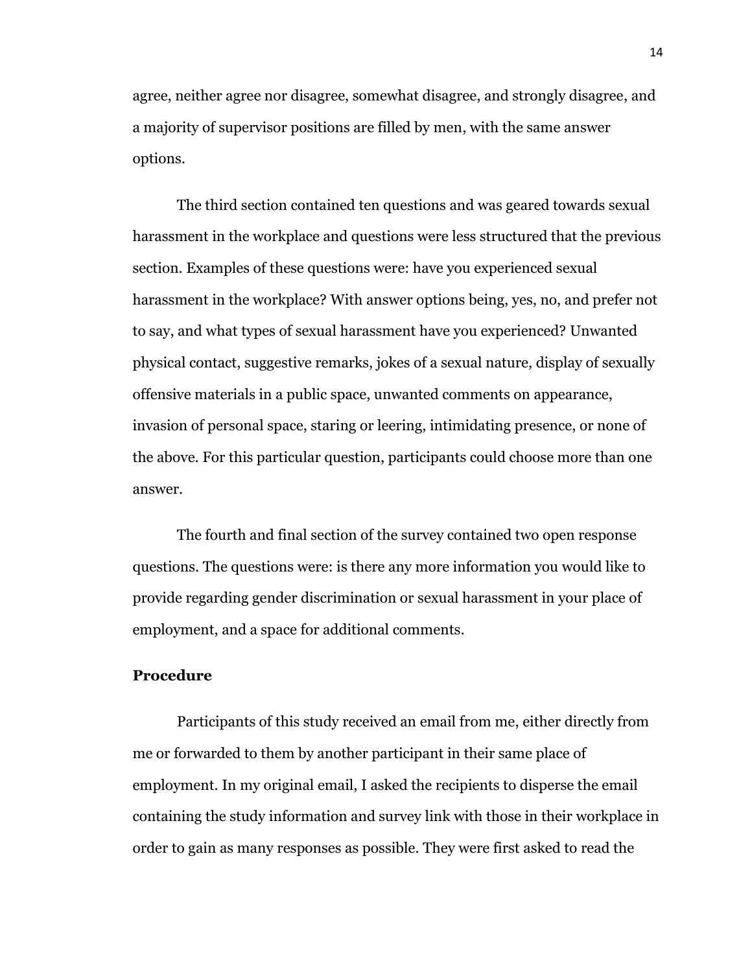agree, neither agree nor disagree, somewhat disagree, and strongly disagree, and a majority of supervisor positions are filled by men, with the same answer options.

The third section contained ten questions and was geared towards sexual harassment in the workplace and questions were less structured that the previous section. Examples of these questions were: have you experienced sexual harassment in the workplace? With answer options being, yes, no, and prefer not to say, and what types of sexual harassment have you experienced? Unwanted physical contact, suggestive remarks, jokes of a sexual nature, display of sexually offensive materials in a public space, unwanted comments on appearance, invasion of personal space, staring or leering, intimidating presence, or none of the above. For this particular question, participants could choose more than one answer.

The fourth and final section of the survey contained two open response questions. The questions were: is there any more information you would like to provide regarding gender discrimination or sexual harassment in your place of employment, and a space for additional comments.

### **Procedure**

Participants of this study received an email from me, either directly from me or forwarded to them by another participant in their same place of employment. In my original email, I asked the recipients to disperse the email containing the study information and survey link with those in their workplace in order to gain as many responses as possible. They were first asked to read the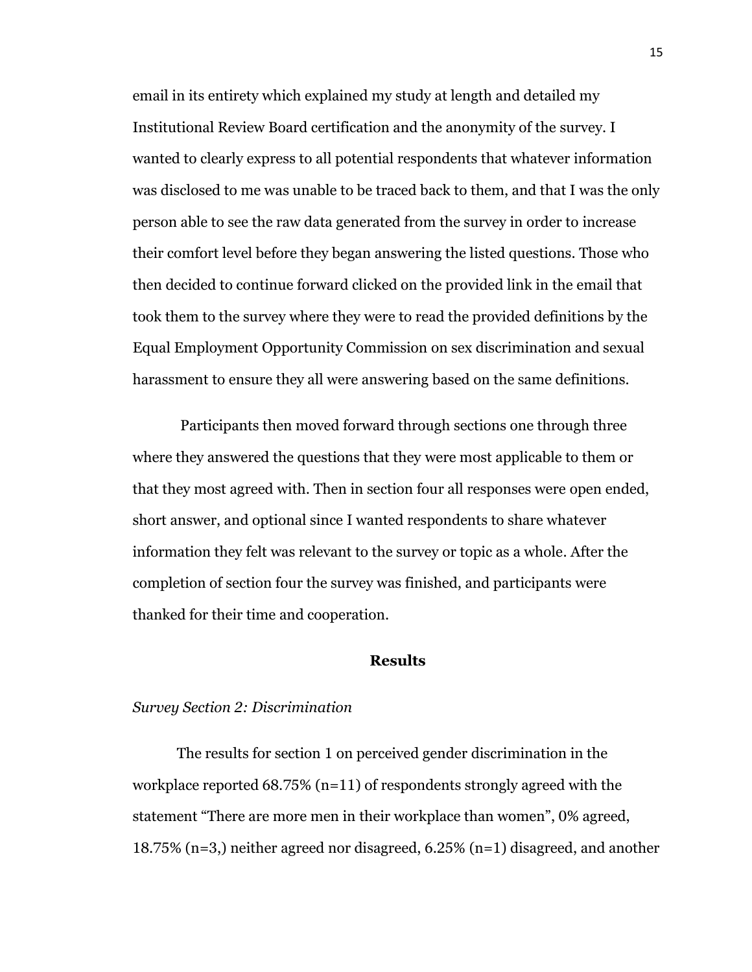email in its entirety which explained my study at length and detailed my Institutional Review Board certification and the anonymity of the survey. I wanted to clearly express to all potential respondents that whatever information was disclosed to me was unable to be traced back to them, and that I was the only person able to see the raw data generated from the survey in order to increase their comfort level before they began answering the listed questions. Those who then decided to continue forward clicked on the provided link in the email that took them to the survey where they were to read the provided definitions by the Equal Employment Opportunity Commission on sex discrimination and sexual harassment to ensure they all were answering based on the same definitions.

Participants then moved forward through sections one through three where they answered the questions that they were most applicable to them or that they most agreed with. Then in section four all responses were open ended, short answer, and optional since I wanted respondents to share whatever information they felt was relevant to the survey or topic as a whole. After the completion of section four the survey was finished, and participants were thanked for their time and cooperation.

### **Results**

#### *Survey Section 2: Discrimination*

The results for section 1 on perceived gender discrimination in the workplace reported 68.75% (n=11) of respondents strongly agreed with the statement "There are more men in their workplace than women", 0% agreed, 18.75% (n=3,) neither agreed nor disagreed, 6.25% (n=1) disagreed, and another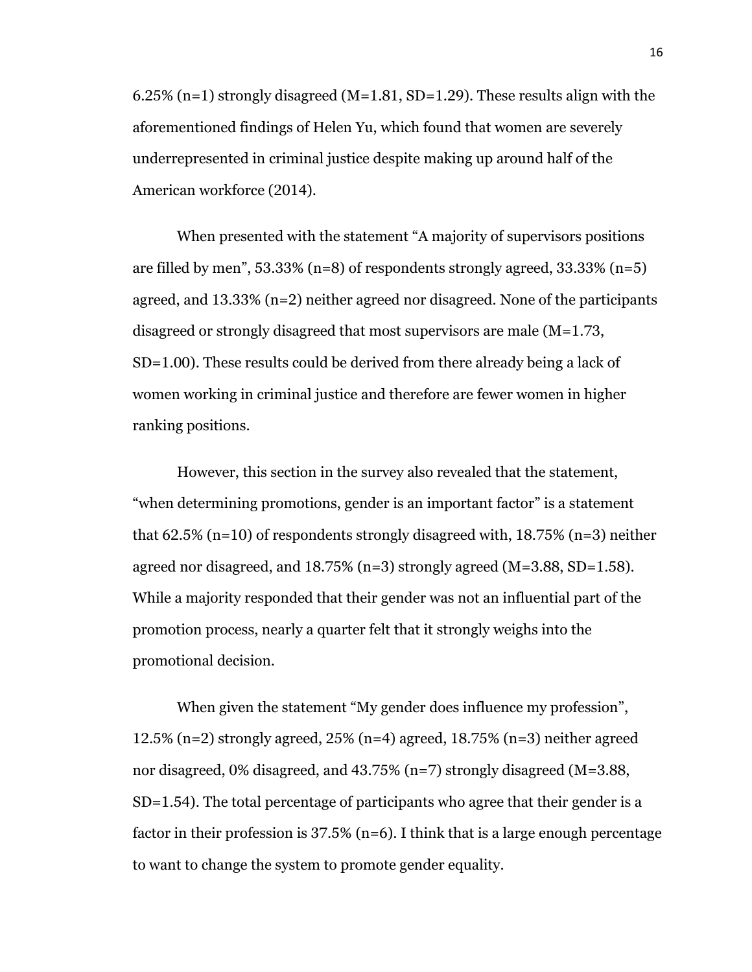6.25% (n=1) strongly disagreed (M=1.81, SD=1.29). These results align with the aforementioned findings of Helen Yu, which found that women are severely underrepresented in criminal justice despite making up around half of the American workforce (2014).

When presented with the statement "A majority of supervisors positions are filled by men",  $53.33\%$  (n=8) of respondents strongly agreed,  $33.33\%$  (n=5) agreed, and 13.33% (n=2) neither agreed nor disagreed. None of the participants disagreed or strongly disagreed that most supervisors are male (M=1.73, SD=1.00). These results could be derived from there already being a lack of women working in criminal justice and therefore are fewer women in higher ranking positions.

However, this section in the survey also revealed that the statement, "when determining promotions, gender is an important factor" is a statement that  $62.5\%$  (n=10) of respondents strongly disagreed with,  $18.75\%$  (n=3) neither agreed nor disagreed, and 18.75% (n=3) strongly agreed (M=3.88, SD=1.58). While a majority responded that their gender was not an influential part of the promotion process, nearly a quarter felt that it strongly weighs into the promotional decision.

When given the statement "My gender does influence my profession", 12.5% (n=2) strongly agreed, 25% (n=4) agreed, 18.75% (n=3) neither agreed nor disagreed, 0% disagreed, and 43.75% (n=7) strongly disagreed (M=3.88, SD=1.54). The total percentage of participants who agree that their gender is a factor in their profession is  $37.5\%$  (n=6). I think that is a large enough percentage to want to change the system to promote gender equality.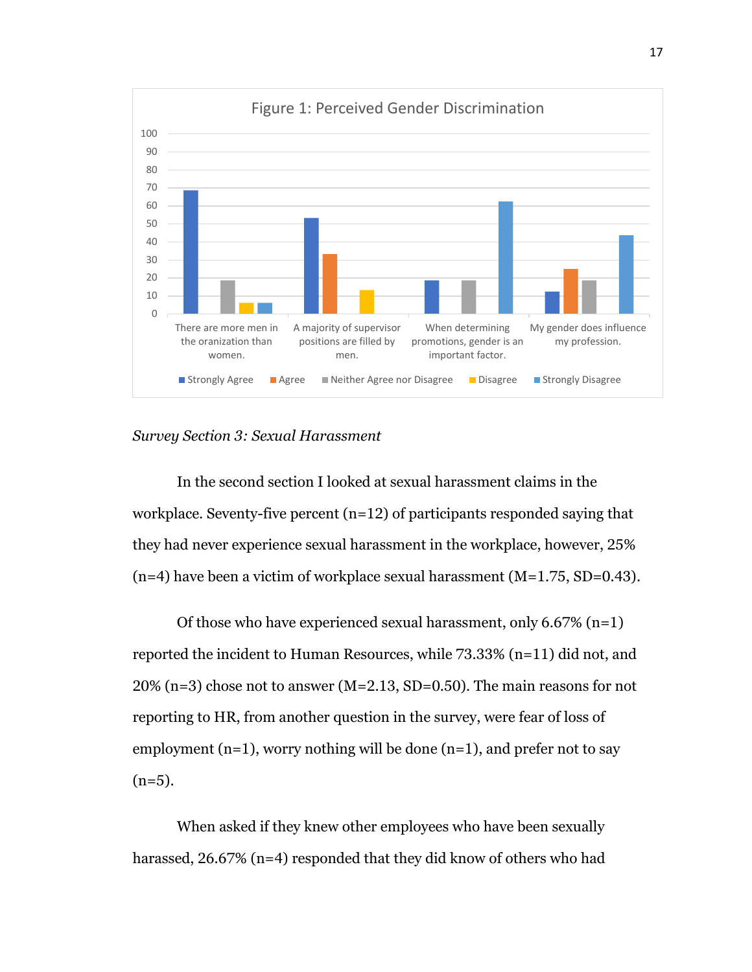

### *Survey Section 3: Sexual Harassment*

In the second section I looked at sexual harassment claims in the workplace. Seventy-five percent (n=12) of participants responded saying that they had never experience sexual harassment in the workplace, however, 25%  $(n=4)$  have been a victim of workplace sexual harassment  $(M=1.75, SD=0.43)$ .

Of those who have experienced sexual harassment, only  $6.67\%$  (n=1) reported the incident to Human Resources, while 73.33% (n=11) did not, and 20% (n=3) chose not to answer (M=2.13, SD=0.50). The main reasons for not reporting to HR, from another question in the survey, were fear of loss of employment  $(n=1)$ , worry nothing will be done  $(n=1)$ , and prefer not to say  $(n=5)$ .

When asked if they knew other employees who have been sexually harassed, 26.67% (n=4) responded that they did know of others who had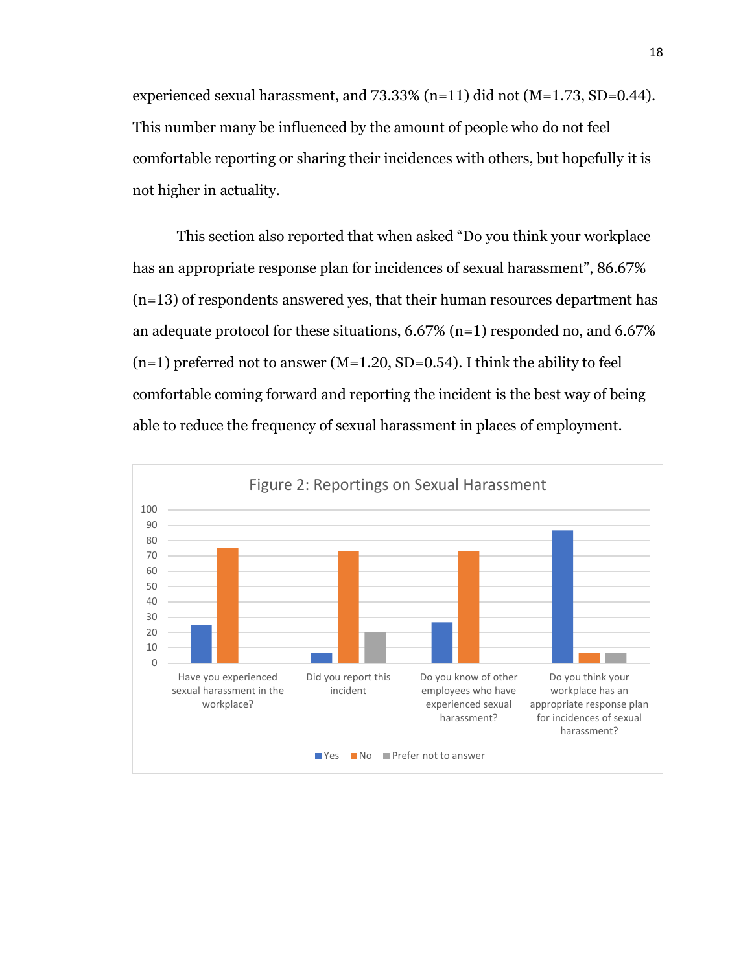experienced sexual harassment, and  $73.33\%$  (n=11) did not (M=1.73, SD=0.44). This number many be influenced by the amount of people who do not feel comfortable reporting or sharing their incidences with others, but hopefully it is not higher in actuality.

This section also reported that when asked "Do you think your workplace has an appropriate response plan for incidences of sexual harassment", 86.67% (n=13) of respondents answered yes, that their human resources department has an adequate protocol for these situations, 6.67% (n=1) responded no, and 6.67%  $(n=1)$  preferred not to answer  $(M=1.20, SD=0.54)$ . I think the ability to feel comfortable coming forward and reporting the incident is the best way of being able to reduce the frequency of sexual harassment in places of employment.

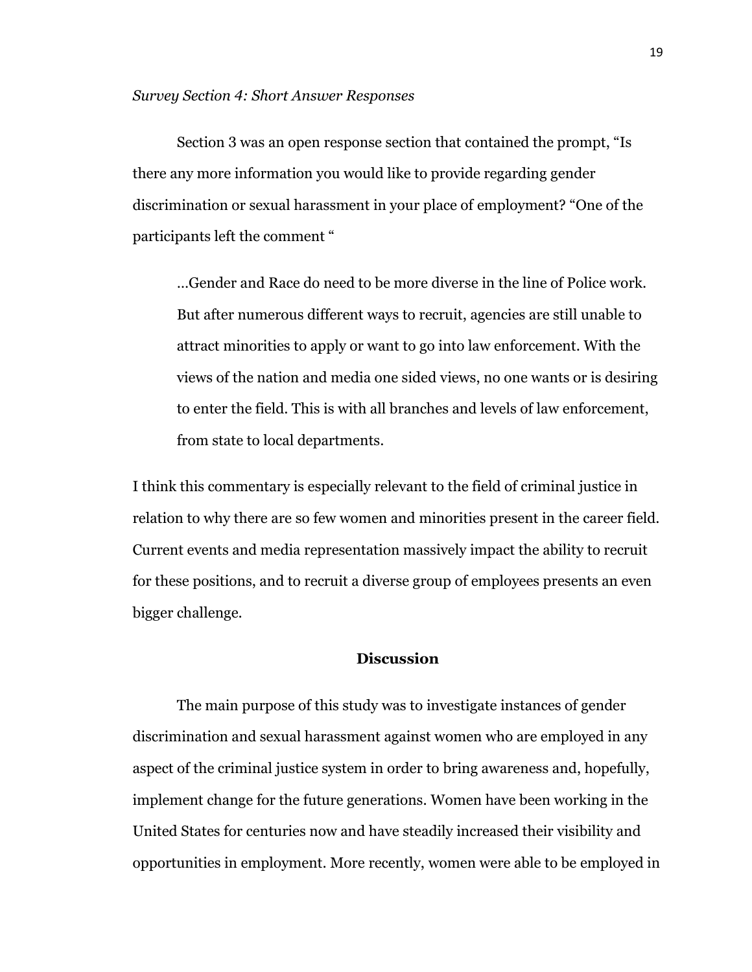#### *Survey Section 4: Short Answer Responses*

Section 3 was an open response section that contained the prompt, "Is there any more information you would like to provide regarding gender discrimination or sexual harassment in your place of employment? "One of the participants left the comment "

…Gender and Race do need to be more diverse in the line of Police work. But after numerous different ways to recruit, agencies are still unable to attract minorities to apply or want to go into law enforcement. With the views of the nation and media one sided views, no one wants or is desiring to enter the field. This is with all branches and levels of law enforcement, from state to local departments.

I think this commentary is especially relevant to the field of criminal justice in relation to why there are so few women and minorities present in the career field. Current events and media representation massively impact the ability to recruit for these positions, and to recruit a diverse group of employees presents an even bigger challenge.

### **Discussion**

The main purpose of this study was to investigate instances of gender discrimination and sexual harassment against women who are employed in any aspect of the criminal justice system in order to bring awareness and, hopefully, implement change for the future generations. Women have been working in the United States for centuries now and have steadily increased their visibility and opportunities in employment. More recently, women were able to be employed in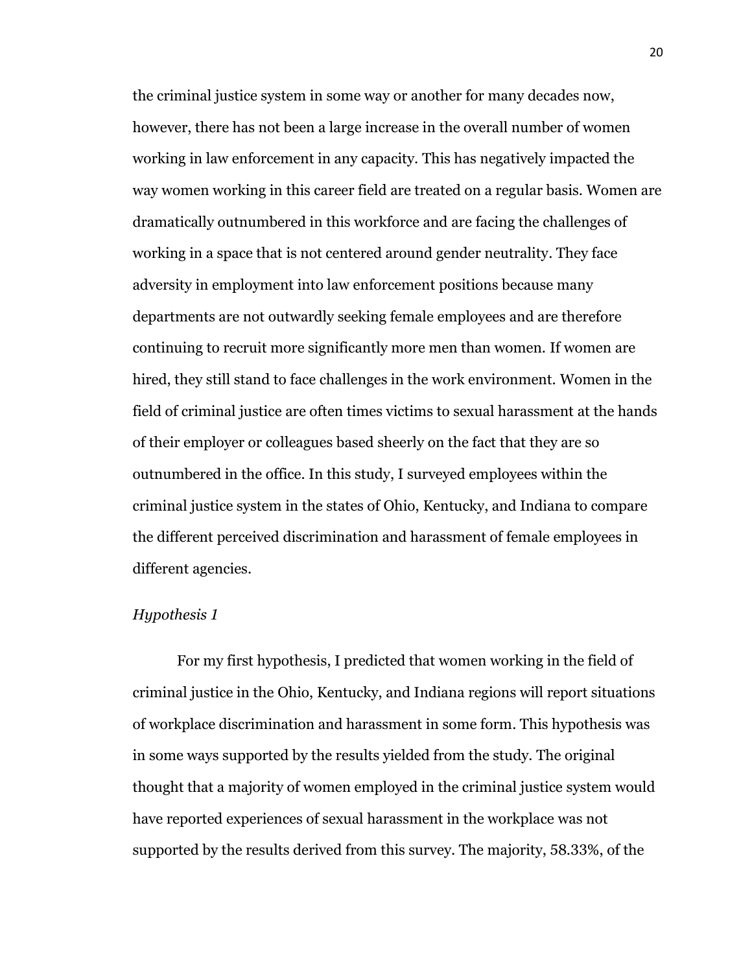the criminal justice system in some way or another for many decades now, however, there has not been a large increase in the overall number of women working in law enforcement in any capacity. This has negatively impacted the way women working in this career field are treated on a regular basis. Women are dramatically outnumbered in this workforce and are facing the challenges of working in a space that is not centered around gender neutrality. They face adversity in employment into law enforcement positions because many departments are not outwardly seeking female employees and are therefore continuing to recruit more significantly more men than women. If women are hired, they still stand to face challenges in the work environment. Women in the field of criminal justice are often times victims to sexual harassment at the hands of their employer or colleagues based sheerly on the fact that they are so outnumbered in the office. In this study, I surveyed employees within the criminal justice system in the states of Ohio, Kentucky, and Indiana to compare the different perceived discrimination and harassment of female employees in different agencies.

# *Hypothesis 1*

For my first hypothesis, I predicted that women working in the field of criminal justice in the Ohio, Kentucky, and Indiana regions will report situations of workplace discrimination and harassment in some form. This hypothesis was in some ways supported by the results yielded from the study. The original thought that a majority of women employed in the criminal justice system would have reported experiences of sexual harassment in the workplace was not supported by the results derived from this survey. The majority, 58.33%, of the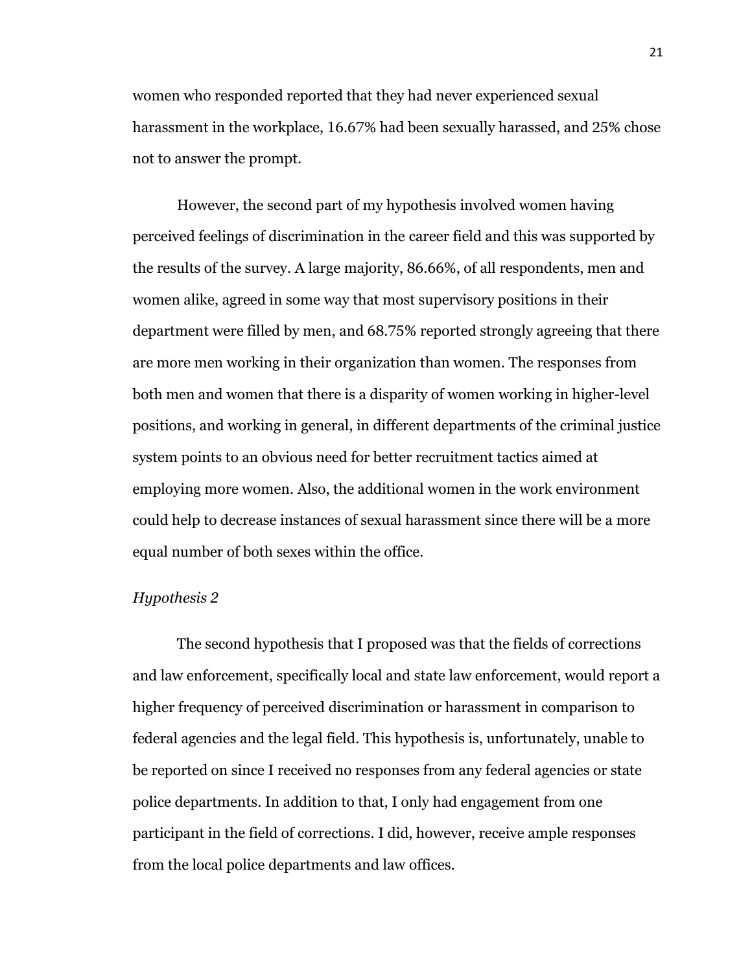women who responded reported that they had never experienced sexual harassment in the workplace, 16.67% had been sexually harassed, and 25% chose not to answer the prompt.

However, the second part of my hypothesis involved women having perceived feelings of discrimination in the career field and this was supported by the results of the survey. A large majority, 86.66%, of all respondents, men and women alike, agreed in some way that most supervisory positions in their department were filled by men, and 68.75% reported strongly agreeing that there are more men working in their organization than women. The responses from both men and women that there is a disparity of women working in higher-level positions, and working in general, in different departments of the criminal justice system points to an obvious need for better recruitment tactics aimed at employing more women. Also, the additional women in the work environment could help to decrease instances of sexual harassment since there will be a more equal number of both sexes within the office.

#### *Hypothesis 2*

The second hypothesis that I proposed was that the fields of corrections and law enforcement, specifically local and state law enforcement, would report a higher frequency of perceived discrimination or harassment in comparison to federal agencies and the legal field. This hypothesis is, unfortunately, unable to be reported on since I received no responses from any federal agencies or state police departments. In addition to that, I only had engagement from one participant in the field of corrections. I did, however, receive ample responses from the local police departments and law offices.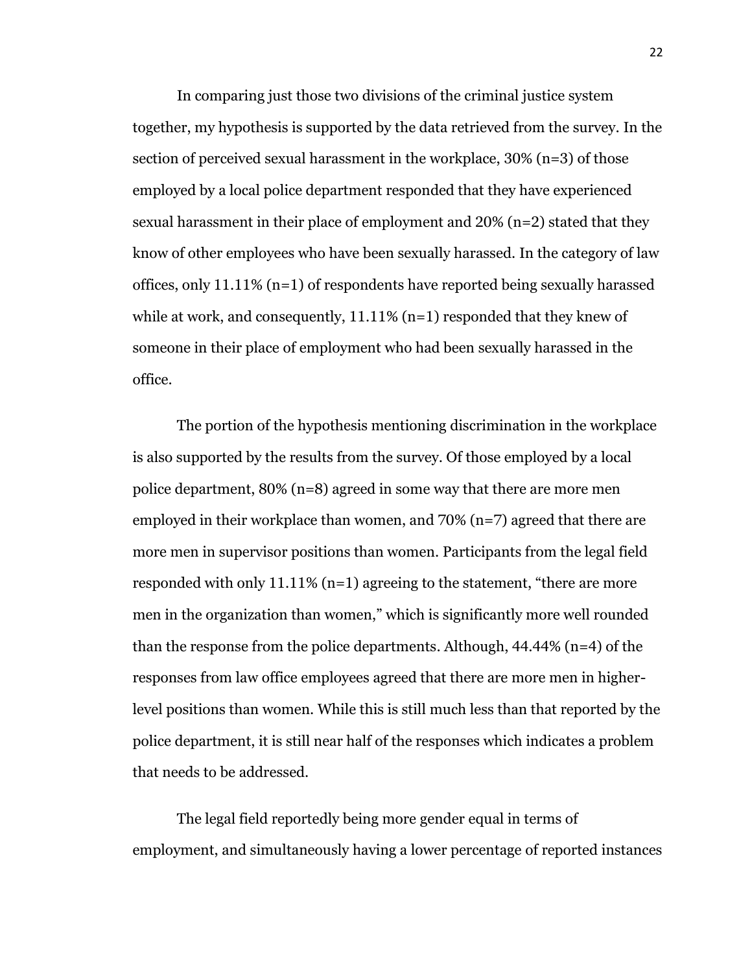In comparing just those two divisions of the criminal justice system together, my hypothesis is supported by the data retrieved from the survey. In the section of perceived sexual harassment in the workplace, 30% (n=3) of those employed by a local police department responded that they have experienced sexual harassment in their place of employment and 20% (n=2) stated that they know of other employees who have been sexually harassed. In the category of law offices, only 11.11% (n=1) of respondents have reported being sexually harassed while at work, and consequently,  $11.11\%$  (n=1) responded that they knew of someone in their place of employment who had been sexually harassed in the office.

The portion of the hypothesis mentioning discrimination in the workplace is also supported by the results from the survey. Of those employed by a local police department, 80% (n=8) agreed in some way that there are more men employed in their workplace than women, and 70% (n=7) agreed that there are more men in supervisor positions than women. Participants from the legal field responded with only 11.11% (n=1) agreeing to the statement, "there are more men in the organization than women," which is significantly more well rounded than the response from the police departments. Although, 44.44% (n=4) of the responses from law office employees agreed that there are more men in higherlevel positions than women. While this is still much less than that reported by the police department, it is still near half of the responses which indicates a problem that needs to be addressed.

The legal field reportedly being more gender equal in terms of employment, and simultaneously having a lower percentage of reported instances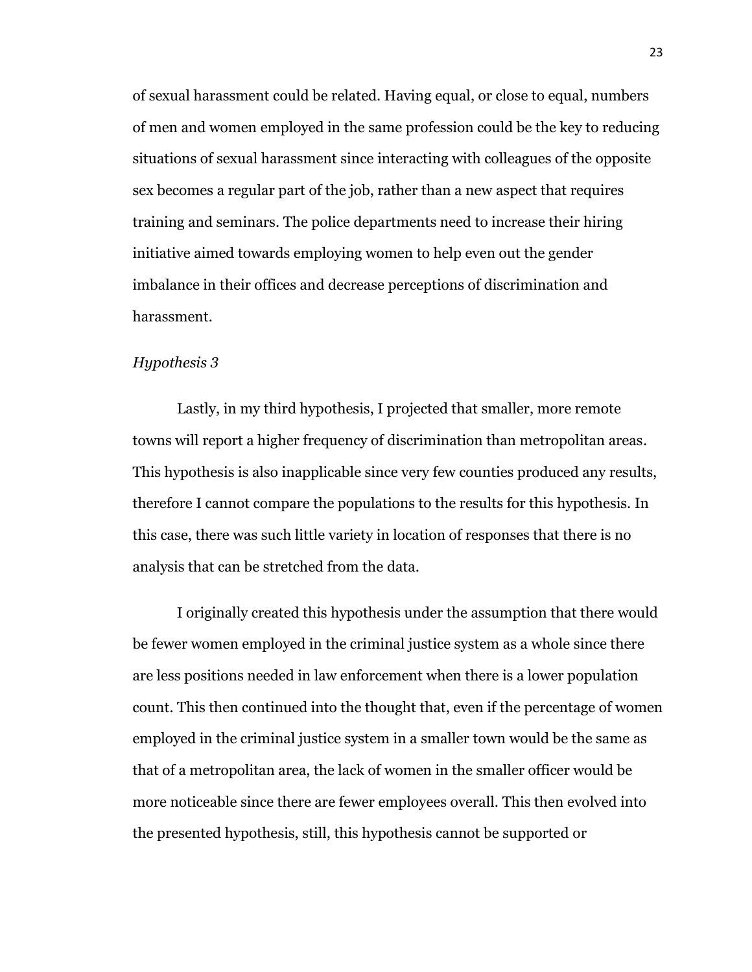of sexual harassment could be related. Having equal, or close to equal, numbers of men and women employed in the same profession could be the key to reducing situations of sexual harassment since interacting with colleagues of the opposite sex becomes a regular part of the job, rather than a new aspect that requires training and seminars. The police departments need to increase their hiring initiative aimed towards employing women to help even out the gender imbalance in their offices and decrease perceptions of discrimination and harassment.

#### *Hypothesis 3*

Lastly, in my third hypothesis, I projected that smaller, more remote towns will report a higher frequency of discrimination than metropolitan areas. This hypothesis is also inapplicable since very few counties produced any results, therefore I cannot compare the populations to the results for this hypothesis. In this case, there was such little variety in location of responses that there is no analysis that can be stretched from the data.

I originally created this hypothesis under the assumption that there would be fewer women employed in the criminal justice system as a whole since there are less positions needed in law enforcement when there is a lower population count. This then continued into the thought that, even if the percentage of women employed in the criminal justice system in a smaller town would be the same as that of a metropolitan area, the lack of women in the smaller officer would be more noticeable since there are fewer employees overall. This then evolved into the presented hypothesis, still, this hypothesis cannot be supported or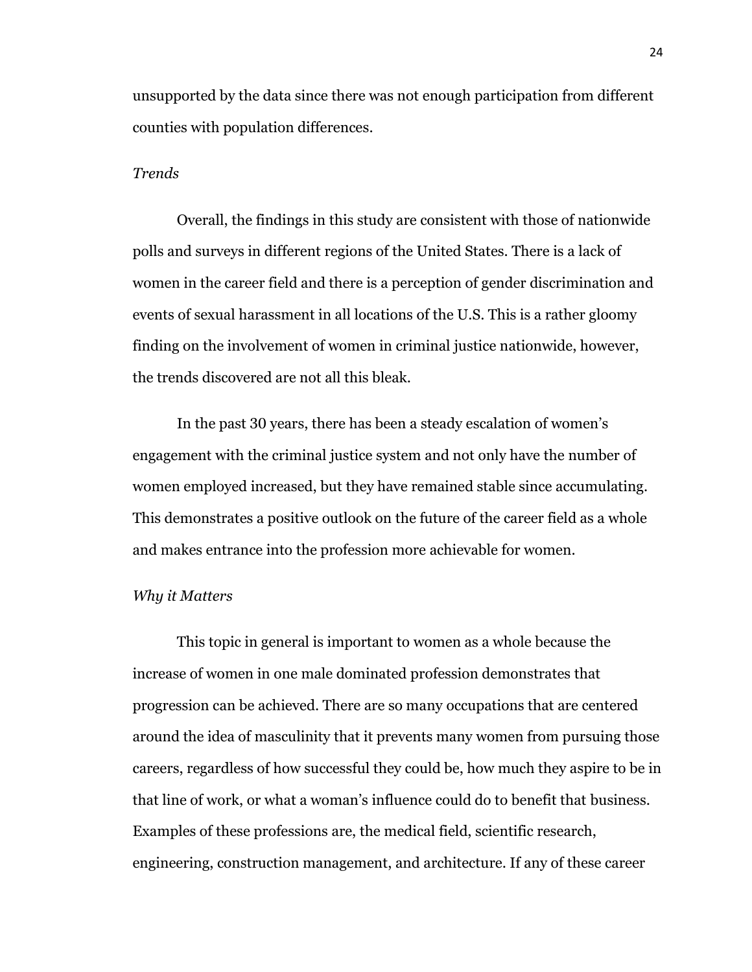unsupported by the data since there was not enough participation from different counties with population differences.

#### *Trends*

Overall, the findings in this study are consistent with those of nationwide polls and surveys in different regions of the United States. There is a lack of women in the career field and there is a perception of gender discrimination and events of sexual harassment in all locations of the U.S. This is a rather gloomy finding on the involvement of women in criminal justice nationwide, however, the trends discovered are not all this bleak.

In the past 30 years, there has been a steady escalation of women's engagement with the criminal justice system and not only have the number of women employed increased, but they have remained stable since accumulating. This demonstrates a positive outlook on the future of the career field as a whole and makes entrance into the profession more achievable for women.

#### *Why it Matters*

This topic in general is important to women as a whole because the increase of women in one male dominated profession demonstrates that progression can be achieved. There are so many occupations that are centered around the idea of masculinity that it prevents many women from pursuing those careers, regardless of how successful they could be, how much they aspire to be in that line of work, or what a woman's influence could do to benefit that business. Examples of these professions are, the medical field, scientific research, engineering, construction management, and architecture. If any of these career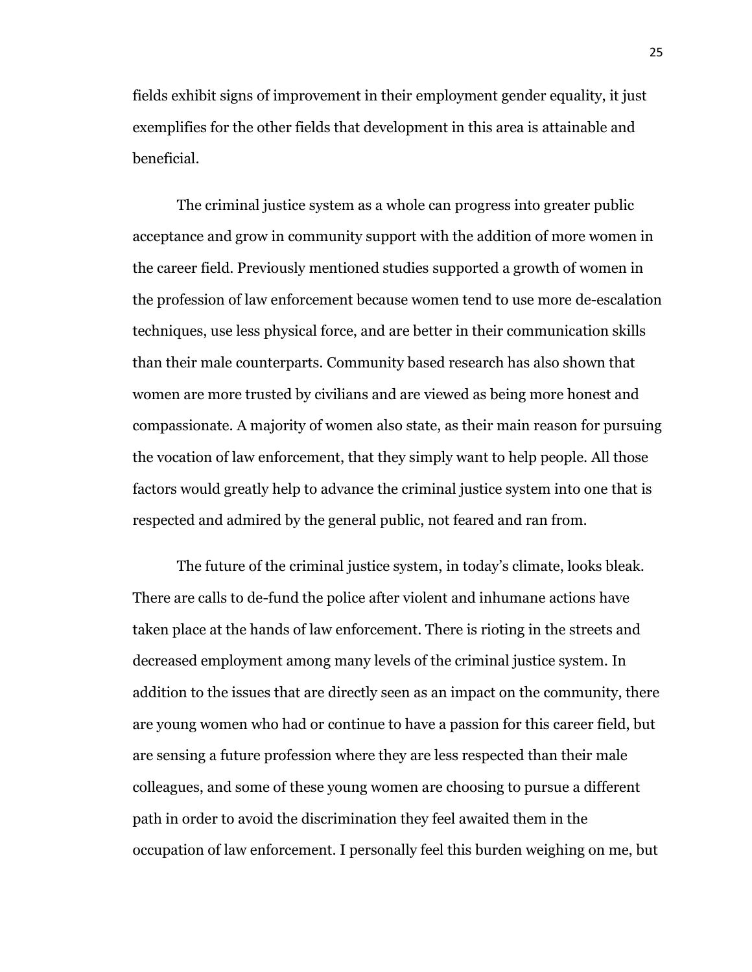fields exhibit signs of improvement in their employment gender equality, it just exemplifies for the other fields that development in this area is attainable and beneficial.

The criminal justice system as a whole can progress into greater public acceptance and grow in community support with the addition of more women in the career field. Previously mentioned studies supported a growth of women in the profession of law enforcement because women tend to use more de-escalation techniques, use less physical force, and are better in their communication skills than their male counterparts. Community based research has also shown that women are more trusted by civilians and are viewed as being more honest and compassionate. A majority of women also state, as their main reason for pursuing the vocation of law enforcement, that they simply want to help people. All those factors would greatly help to advance the criminal justice system into one that is respected and admired by the general public, not feared and ran from.

The future of the criminal justice system, in today's climate, looks bleak. There are calls to de-fund the police after violent and inhumane actions have taken place at the hands of law enforcement. There is rioting in the streets and decreased employment among many levels of the criminal justice system. In addition to the issues that are directly seen as an impact on the community, there are young women who had or continue to have a passion for this career field, but are sensing a future profession where they are less respected than their male colleagues, and some of these young women are choosing to pursue a different path in order to avoid the discrimination they feel awaited them in the occupation of law enforcement. I personally feel this burden weighing on me, but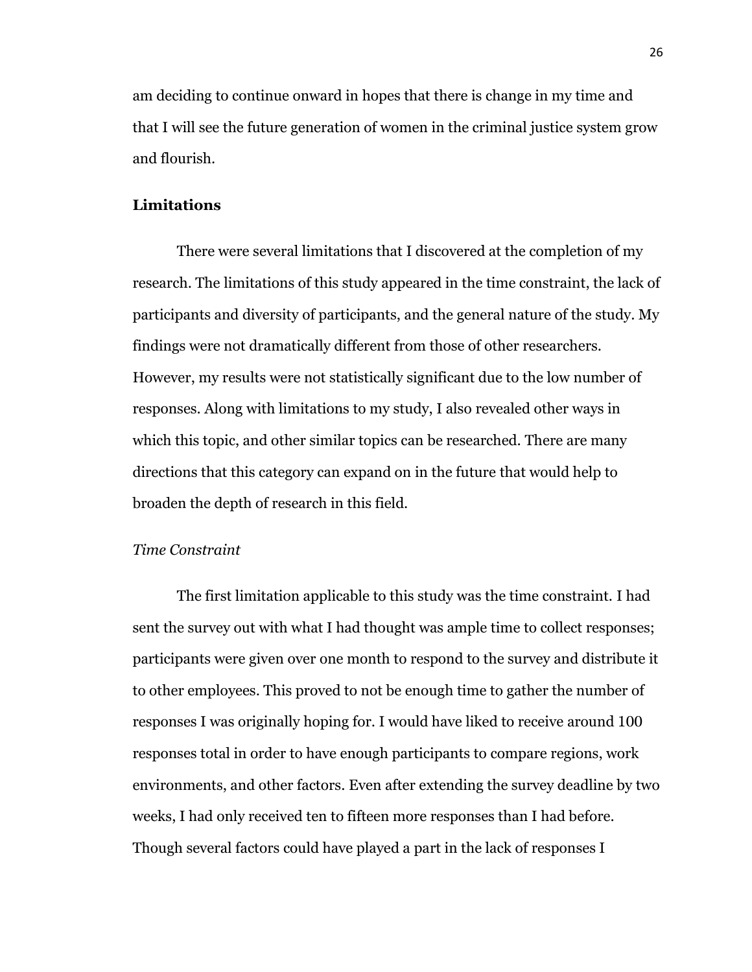am deciding to continue onward in hopes that there is change in my time and that I will see the future generation of women in the criminal justice system grow and flourish.

#### **Limitations**

There were several limitations that I discovered at the completion of my research. The limitations of this study appeared in the time constraint, the lack of participants and diversity of participants, and the general nature of the study. My findings were not dramatically different from those of other researchers. However, my results were not statistically significant due to the low number of responses. Along with limitations to my study, I also revealed other ways in which this topic, and other similar topics can be researched. There are many directions that this category can expand on in the future that would help to broaden the depth of research in this field.

# *Time Constraint*

The first limitation applicable to this study was the time constraint. I had sent the survey out with what I had thought was ample time to collect responses; participants were given over one month to respond to the survey and distribute it to other employees. This proved to not be enough time to gather the number of responses I was originally hoping for. I would have liked to receive around 100 responses total in order to have enough participants to compare regions, work environments, and other factors. Even after extending the survey deadline by two weeks, I had only received ten to fifteen more responses than I had before. Though several factors could have played a part in the lack of responses I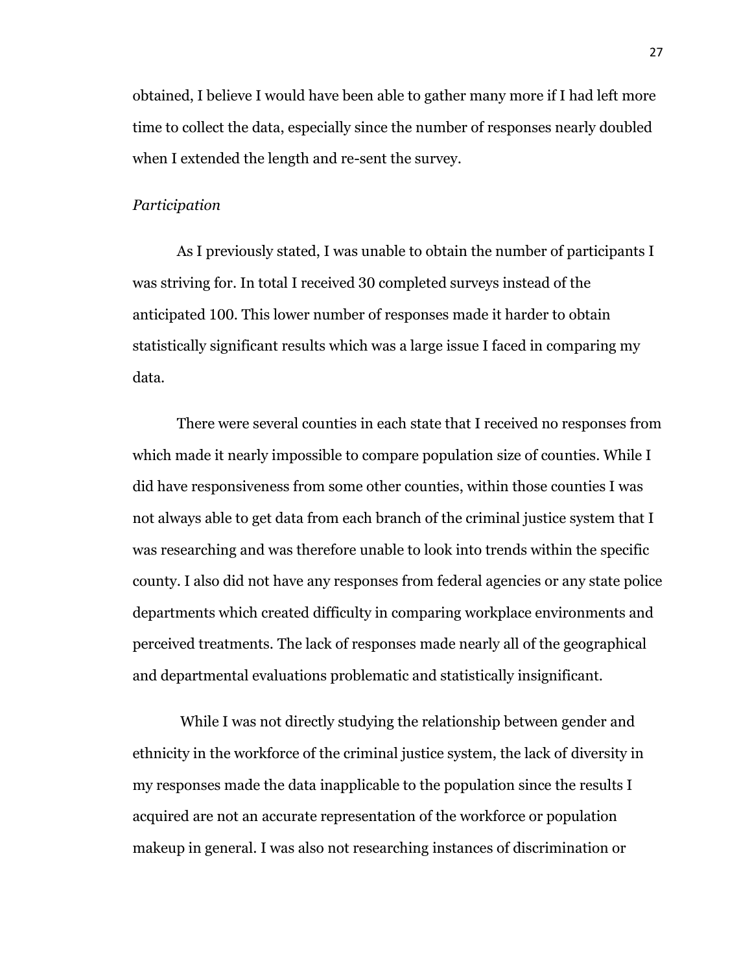obtained, I believe I would have been able to gather many more if I had left more time to collect the data, especially since the number of responses nearly doubled when I extended the length and re-sent the survey.

### *Participation*

As I previously stated, I was unable to obtain the number of participants I was striving for. In total I received 30 completed surveys instead of the anticipated 100. This lower number of responses made it harder to obtain statistically significant results which was a large issue I faced in comparing my data.

There were several counties in each state that I received no responses from which made it nearly impossible to compare population size of counties. While I did have responsiveness from some other counties, within those counties I was not always able to get data from each branch of the criminal justice system that I was researching and was therefore unable to look into trends within the specific county. I also did not have any responses from federal agencies or any state police departments which created difficulty in comparing workplace environments and perceived treatments. The lack of responses made nearly all of the geographical and departmental evaluations problematic and statistically insignificant.

While I was not directly studying the relationship between gender and ethnicity in the workforce of the criminal justice system, the lack of diversity in my responses made the data inapplicable to the population since the results I acquired are not an accurate representation of the workforce or population makeup in general. I was also not researching instances of discrimination or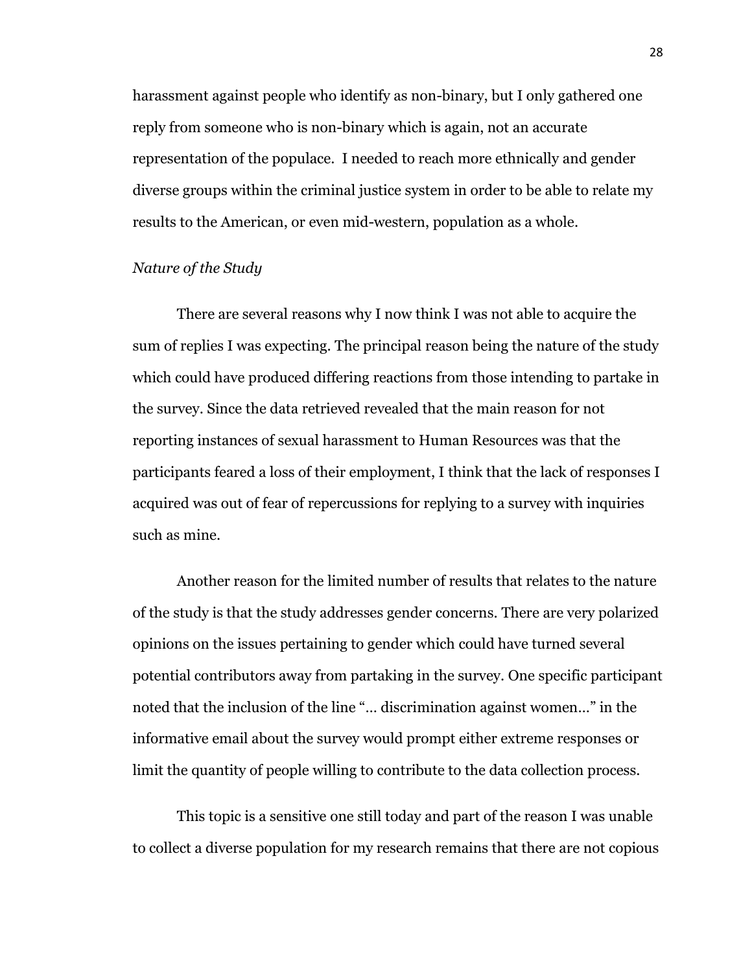harassment against people who identify as non-binary, but I only gathered one reply from someone who is non-binary which is again, not an accurate representation of the populace. I needed to reach more ethnically and gender diverse groups within the criminal justice system in order to be able to relate my results to the American, or even mid-western, population as a whole.

### *Nature of the Study*

There are several reasons why I now think I was not able to acquire the sum of replies I was expecting. The principal reason being the nature of the study which could have produced differing reactions from those intending to partake in the survey. Since the data retrieved revealed that the main reason for not reporting instances of sexual harassment to Human Resources was that the participants feared a loss of their employment, I think that the lack of responses I acquired was out of fear of repercussions for replying to a survey with inquiries such as mine.

Another reason for the limited number of results that relates to the nature of the study is that the study addresses gender concerns. There are very polarized opinions on the issues pertaining to gender which could have turned several potential contributors away from partaking in the survey. One specific participant noted that the inclusion of the line "… discrimination against women…" in the informative email about the survey would prompt either extreme responses or limit the quantity of people willing to contribute to the data collection process.

This topic is a sensitive one still today and part of the reason I was unable to collect a diverse population for my research remains that there are not copious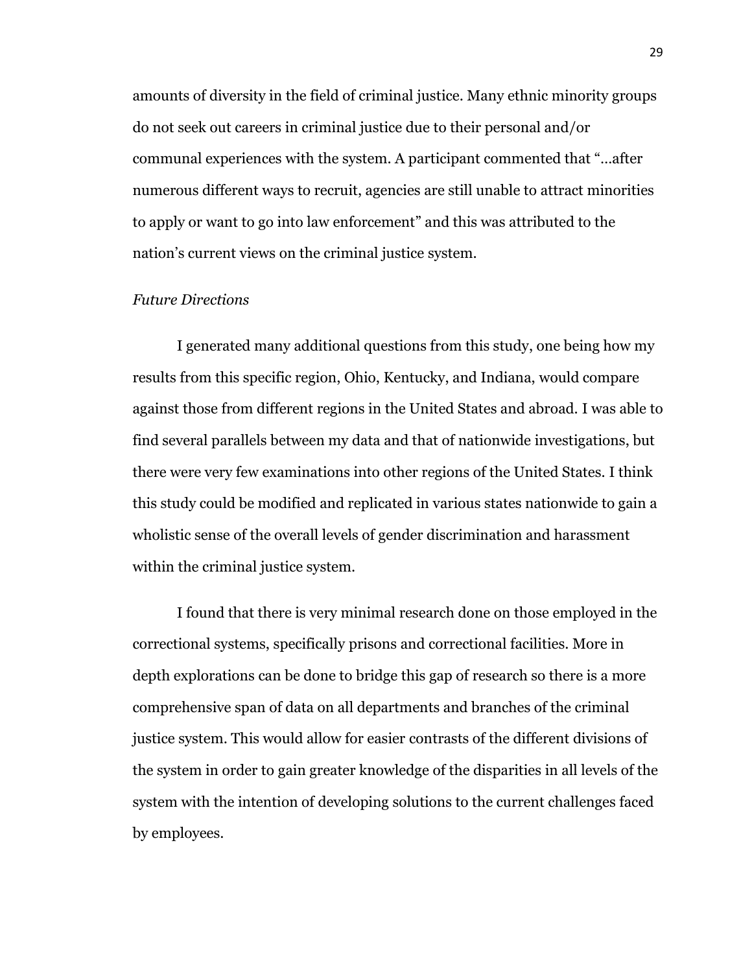amounts of diversity in the field of criminal justice. Many ethnic minority groups do not seek out careers in criminal justice due to their personal and/or communal experiences with the system. A participant commented that "…after numerous different ways to recruit, agencies are still unable to attract minorities to apply or want to go into law enforcement" and this was attributed to the nation's current views on the criminal justice system.

# *Future Directions*

I generated many additional questions from this study, one being how my results from this specific region, Ohio, Kentucky, and Indiana, would compare against those from different regions in the United States and abroad. I was able to find several parallels between my data and that of nationwide investigations, but there were very few examinations into other regions of the United States. I think this study could be modified and replicated in various states nationwide to gain a wholistic sense of the overall levels of gender discrimination and harassment within the criminal justice system.

I found that there is very minimal research done on those employed in the correctional systems, specifically prisons and correctional facilities. More in depth explorations can be done to bridge this gap of research so there is a more comprehensive span of data on all departments and branches of the criminal justice system. This would allow for easier contrasts of the different divisions of the system in order to gain greater knowledge of the disparities in all levels of the system with the intention of developing solutions to the current challenges faced by employees.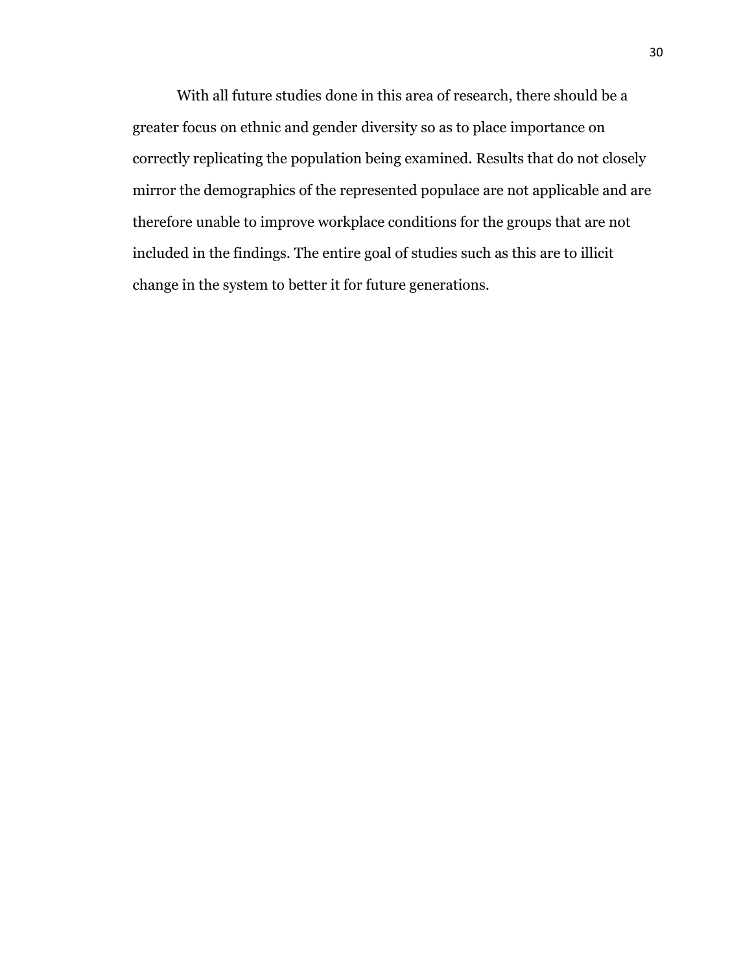With all future studies done in this area of research, there should be a greater focus on ethnic and gender diversity so as to place importance on correctly replicating the population being examined. Results that do not closely mirror the demographics of the represented populace are not applicable and are therefore unable to improve workplace conditions for the groups that are not included in the findings. The entire goal of studies such as this are to illicit change in the system to better it for future generations.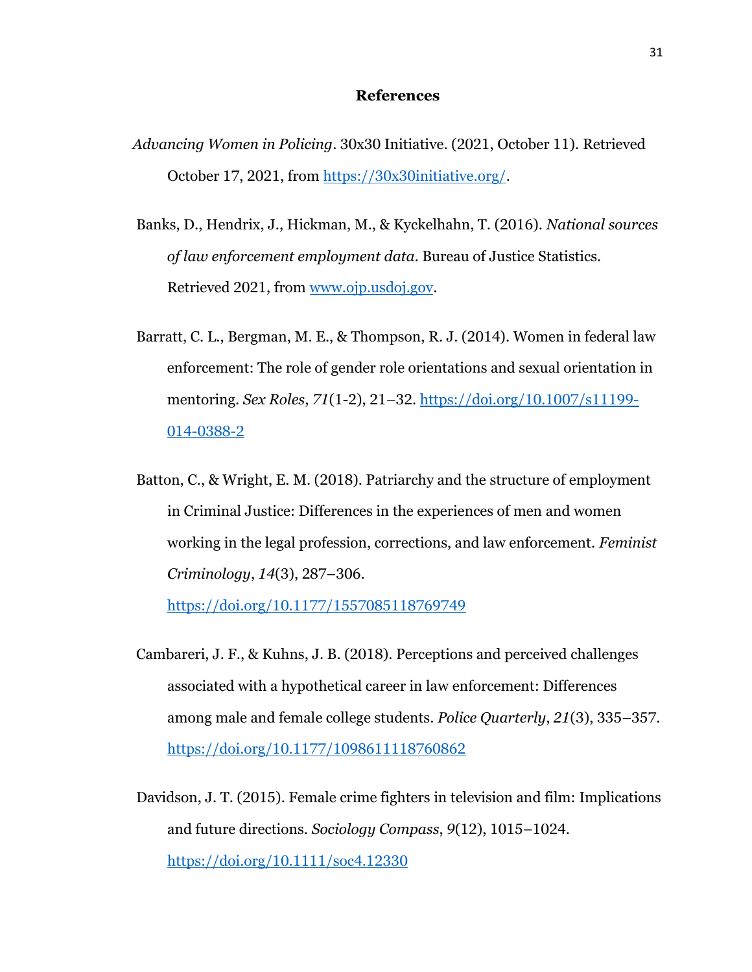#### **References**

- *Advancing Women in Policing*. 30x30 Initiative. (2021, October 11). Retrieved October 17, 2021, from [https://30x30initiative.org/.](https://30x30initiative.org/)
- Banks, D., Hendrix, J., Hickman, M., & Kyckelhahn, T. (2016). *National sources of law enforcement employment data*. Bureau of Justice Statistics. Retrieved 2021, from [www.ojp.usdoj.gov.](http://www.ojp.usdoj.gov/)
- Barratt, C. L., Bergman, M. E., & Thompson, R. J. (2014). Women in federal law enforcement: The role of gender role orientations and sexual orientation in mentoring. *Sex Roles*, *71*(1-2), 21–32. [https://doi.org/10.1007/s11199-](https://doi.org/10.1007/s11199-014-0388-2) [014-0388-2](https://doi.org/10.1007/s11199-014-0388-2)
- Batton, C., & Wright, E. M. (2018). Patriarchy and the structure of employment in Criminal Justice: Differences in the experiences of men and women working in the legal profession, corrections, and law enforcement. *Feminist Criminology*, *14*(3), 287–306.

<https://doi.org/10.1177/1557085118769749>

- Cambareri, J. F., & Kuhns, J. B. (2018). Perceptions and perceived challenges associated with a hypothetical career in law enforcement: Differences among male and female college students. *Police Quarterly*, *21*(3), 335–357. <https://doi.org/10.1177/1098611118760862>
- Davidson, J. T. (2015). Female crime fighters in television and film: Implications and future directions. *Sociology Compass*, *9*(12), 1015–1024. <https://doi.org/10.1111/soc4.12330>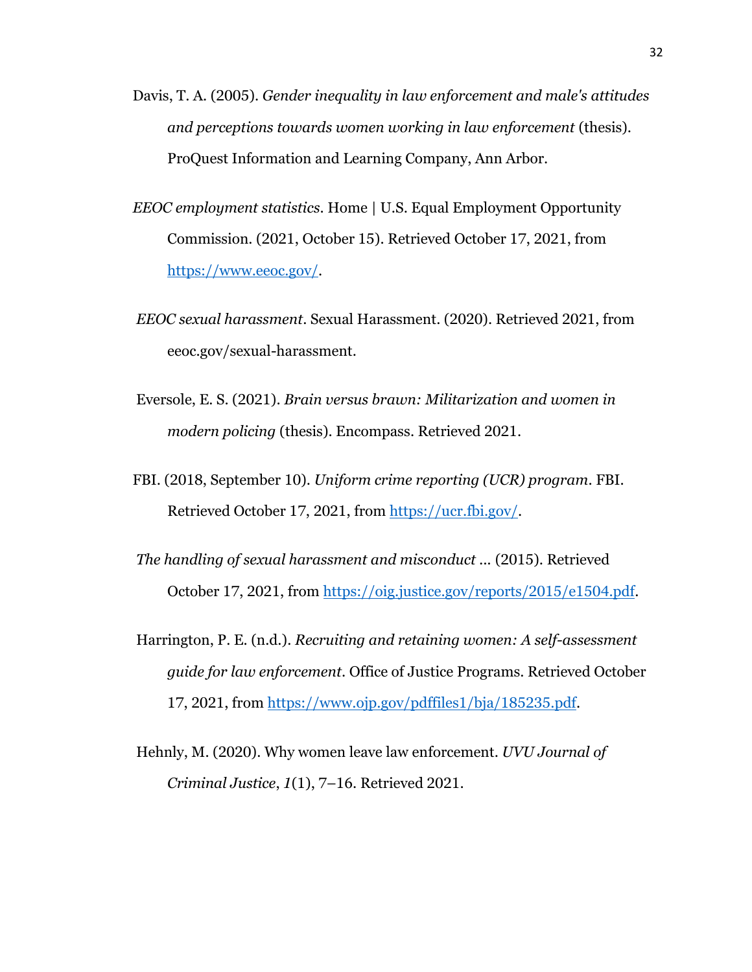- Davis, T. A. (2005). *Gender inequality in law enforcement and male's attitudes and perceptions towards women working in law enforcement* (thesis). ProQuest Information and Learning Company, Ann Arbor.
- *EEOC employment statistics*. Home | U.S. Equal Employment Opportunity Commission. (2021, October 15). Retrieved October 17, 2021, from [https://www.eeoc.gov/.](https://www.eeoc.gov/)
- *EEOC sexual harassment*. Sexual Harassment. (2020). Retrieved 2021, from eeoc.gov/sexual-harassment.
- Eversole, E. S. (2021). *Brain versus brawn: Militarization and women in modern policing* (thesis). Encompass. Retrieved 2021.
- FBI. (2018, September 10). *Uniform crime reporting (UCR) program*. FBI. Retrieved October 17, 2021, from [https://ucr.fbi.gov/.](https://ucr.fbi.gov/)
- *The handling of sexual harassment and misconduct ...* (2015). Retrieved October 17, 2021, from [https://oig.justice.gov/reports/2015/e1504.pdf.](https://oig.justice.gov/reports/2015/e1504.pdf)
- Harrington, P. E. (n.d.). *Recruiting and retaining women: A self-assessment guide for law enforcement*. Office of Justice Programs. Retrieved October 17, 2021, from [https://www.ojp.gov/pdffiles1/bja/185235.pdf.](https://www.ojp.gov/pdffiles1/bja/185235.pdf)
- Hehnly, M. (2020). Why women leave law enforcement. *UVU Journal of Criminal Justice*, *1*(1), 7–16. Retrieved 2021.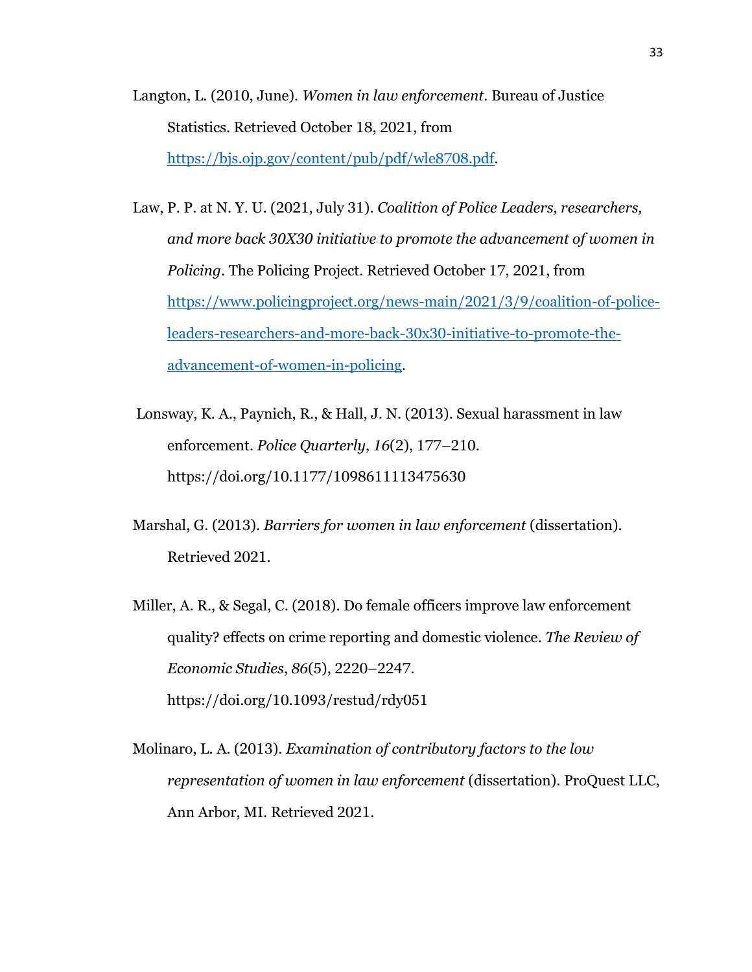Langton, L. (2010, June). *Women in law enforcement*. Bureau of Justice Statistics. Retrieved October 18, 2021, from [https://bjs.ojp.gov/content/pub/pdf/wle8708.pdf.](https://bjs.ojp.gov/content/pub/pdf/wle8708.pdf)

- Law, P. P. at N. Y. U. (2021, July 31). *Coalition of Police Leaders, researchers, and more back 30X30 initiative to promote the advancement of women in Policing*. The Policing Project. Retrieved October 17, 2021, from [https://www.policingproject.org/news-main/2021/3/9/coalition-of-police](https://www.policingproject.org/news-main/2021/3/9/coalition-of-police-leaders-researchers-and-more-back-30x30-initiative-to-promote-the-advancement-of-women-in-policing)[leaders-researchers-and-more-back-30x30-initiative-to-promote-the](https://www.policingproject.org/news-main/2021/3/9/coalition-of-police-leaders-researchers-and-more-back-30x30-initiative-to-promote-the-advancement-of-women-in-policing)[advancement-of-women-in-policing.](https://www.policingproject.org/news-main/2021/3/9/coalition-of-police-leaders-researchers-and-more-back-30x30-initiative-to-promote-the-advancement-of-women-in-policing)
- Lonsway, K. A., Paynich, R., & Hall, J. N. (2013). Sexual harassment in law enforcement. *Police Quarterly*, *16*(2), 177–210. https://doi.org/10.1177/1098611113475630
- Marshal, G. (2013). *Barriers for women in law enforcement* (dissertation). Retrieved 2021.
- Miller, A. R., & Segal, C. (2018). Do female officers improve law enforcement quality? effects on crime reporting and domestic violence. *The Review of Economic Studies*, *86*(5), 2220–2247. https://doi.org/10.1093/restud/rdy051
- Molinaro, L. A. (2013). *Examination of contributory factors to the low representation of women in law enforcement* (dissertation). ProQuest LLC, Ann Arbor, MI. Retrieved 2021.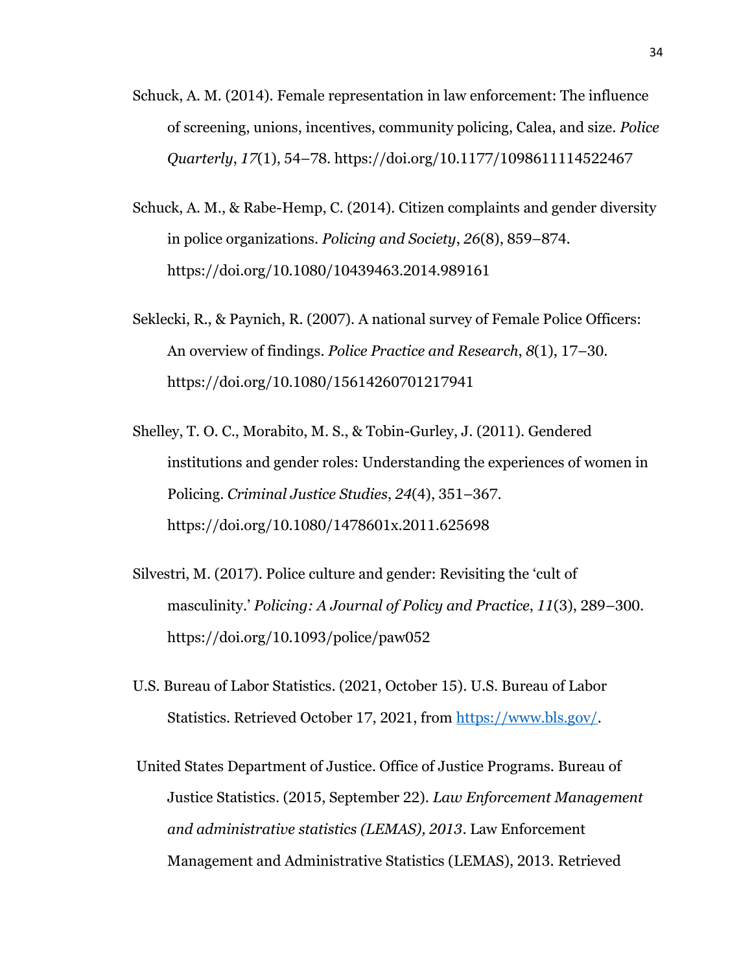- Schuck, A. M. (2014). Female representation in law enforcement: The influence of screening, unions, incentives, community policing, Calea, and size. *Police Quarterly*, *17*(1), 54–78. https://doi.org/10.1177/1098611114522467
- Schuck, A. M., & Rabe-Hemp, C. (2014). Citizen complaints and gender diversity in police organizations. *Policing and Society*, *26*(8), 859–874. https://doi.org/10.1080/10439463.2014.989161
- Seklecki, R., & Paynich, R. (2007). A national survey of Female Police Officers: An overview of findings. *Police Practice and Research*, *8*(1), 17–30. https://doi.org/10.1080/15614260701217941
- Shelley, T. O. C., Morabito, M. S., & Tobin-Gurley, J. (2011). Gendered institutions and gender roles: Understanding the experiences of women in Policing. *Criminal Justice Studies*, *24*(4), 351–367. https://doi.org/10.1080/1478601x.2011.625698
- Silvestri, M. (2017). Police culture and gender: Revisiting the 'cult of masculinity.' *Policing: A Journal of Policy and Practice*, *11*(3), 289–300. https://doi.org/10.1093/police/paw052
- U.S. Bureau of Labor Statistics. (2021, October 15). U.S. Bureau of Labor Statistics. Retrieved October 17, 2021, from [https://www.bls.gov/.](https://www.bls.gov/)
- United States Department of Justice. Office of Justice Programs. Bureau of Justice Statistics. (2015, September 22). *Law Enforcement Management and administrative statistics (LEMAS), 2013*. Law Enforcement Management and Administrative Statistics (LEMAS), 2013. Retrieved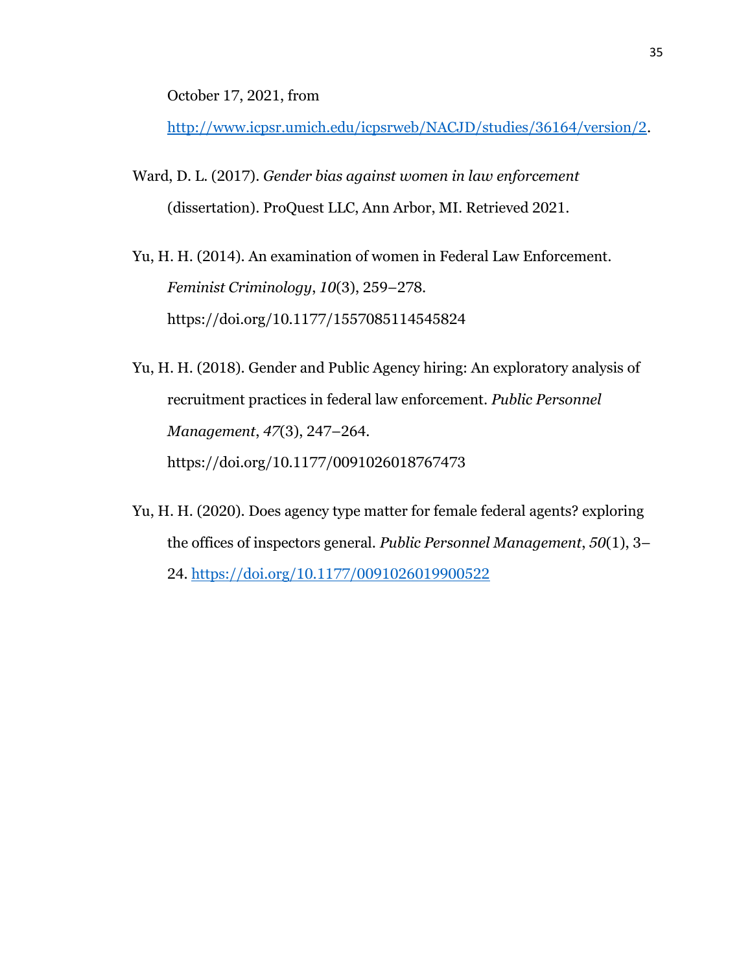October 17, 2021, from

[http://www.icpsr.umich.edu/icpsrweb/NACJD/studies/36164/version/2.](http://www.icpsr.umich.edu/icpsrweb/NACJD/studies/36164/version/2)

Ward, D. L. (2017). *Gender bias against women in law enforcement* (dissertation). ProQuest LLC, Ann Arbor, MI. Retrieved 2021.

Yu, H. H. (2014). An examination of women in Federal Law Enforcement. *Feminist Criminology*, *10*(3), 259–278. https://doi.org/10.1177/1557085114545824

Yu, H. H. (2018). Gender and Public Agency hiring: An exploratory analysis of recruitment practices in federal law enforcement. *Public Personnel Management*, *47*(3), 247–264. https://doi.org/10.1177/0091026018767473

Yu, H. H. (2020). Does agency type matter for female federal agents? exploring the offices of inspectors general. *Public Personnel Management*, *50*(1), 3– 24.<https://doi.org/10.1177/0091026019900522>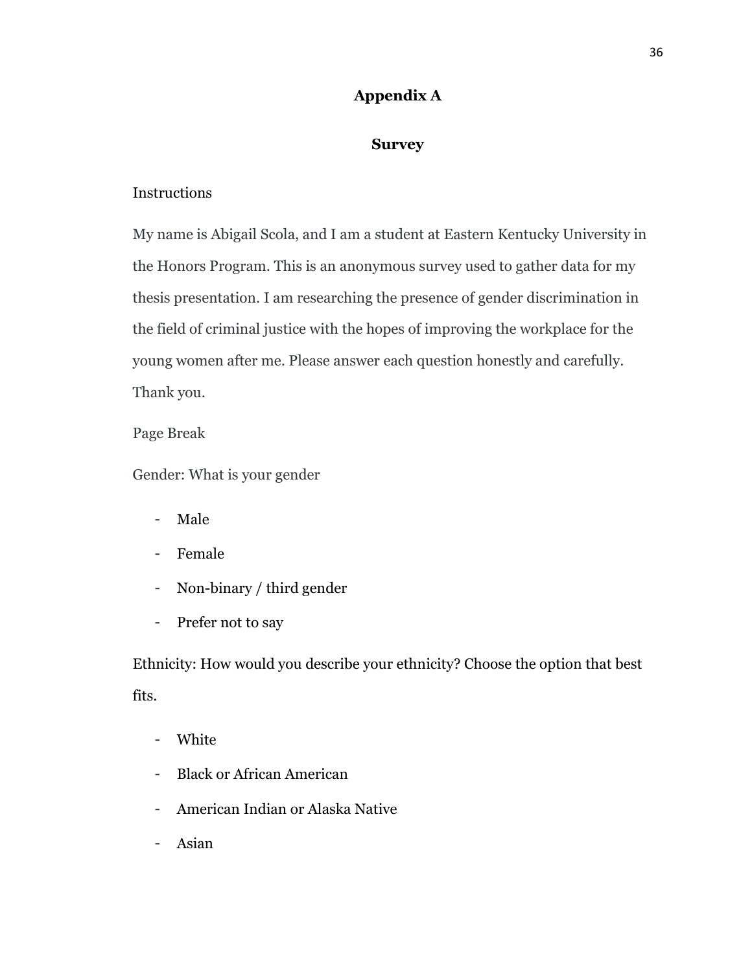# **Appendix A**

# **Survey**

# Instructions

My name is Abigail Scola, and I am a student at Eastern Kentucky University in the Honors Program. This is an anonymous survey used to gather data for my thesis presentation. I am researching the presence of gender discrimination in the field of criminal justice with the hopes of improving the workplace for the young women after me. Please answer each question honestly and carefully. Thank you.

Page Break

Gender: What is your gender

- Male
- Female
- Non-binary / third gender
- Prefer not to say

Ethnicity: How would you describe your ethnicity? Choose the option that best fits.

- White
- Black or African American
- American Indian or Alaska Native
- Asian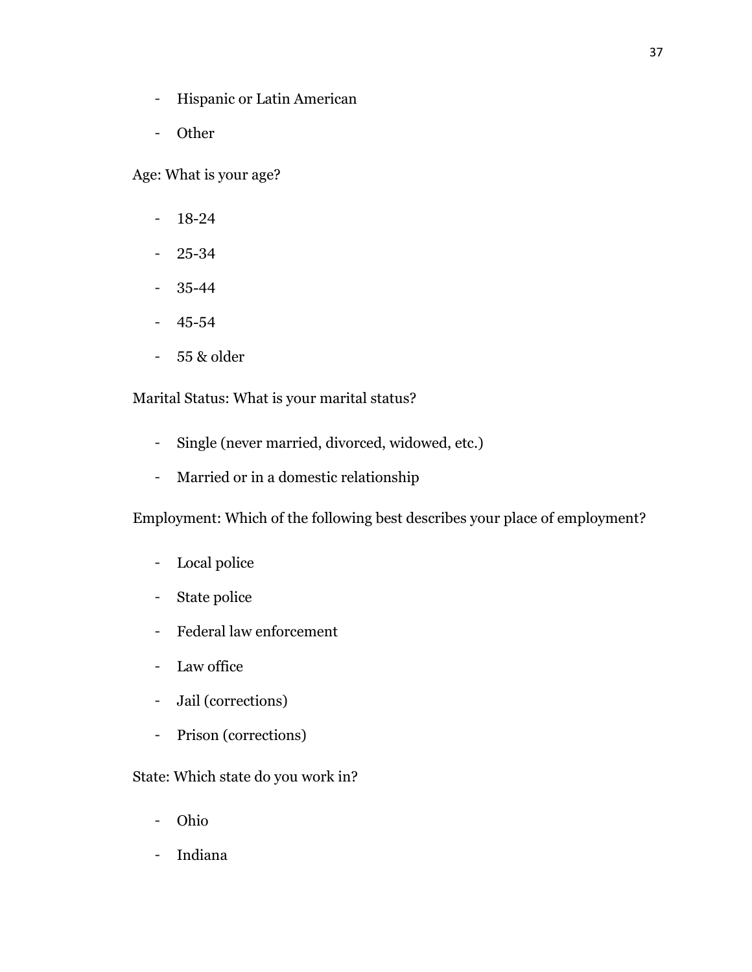- Hispanic or Latin American
- Other

Age: What is your age?

- 18-24
- 25-34
- 35-44
- 45-54
- 55 & older

Marital Status: What is your marital status?

- Single (never married, divorced, widowed, etc.)
- Married or in a domestic relationship

Employment: Which of the following best describes your place of employment?

- Local police
- State police
- Federal law enforcement
- Law office
- Jail (corrections)
- Prison (corrections)

State: Which state do you work in?

- Ohio
- Indiana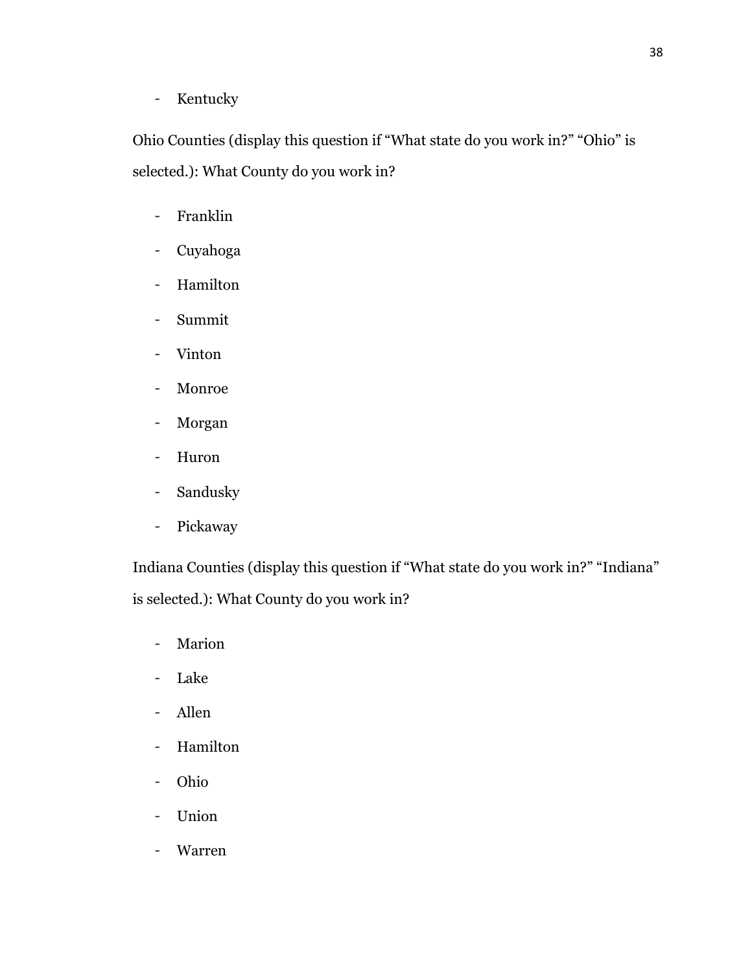- Kentucky

Ohio Counties (display this question if "What state do you work in?" "Ohio" is selected.): What County do you work in?

- Franklin
- Cuyahoga
- Hamilton
- Summit
- Vinton
- Monroe
- Morgan
- Huron
- Sandusky
- Pickaway

Indiana Counties (display this question if "What state do you work in?" "Indiana" is selected.): What County do you work in?

- Marion
- Lake
- Allen
- Hamilton
- Ohio
- Union
- Warren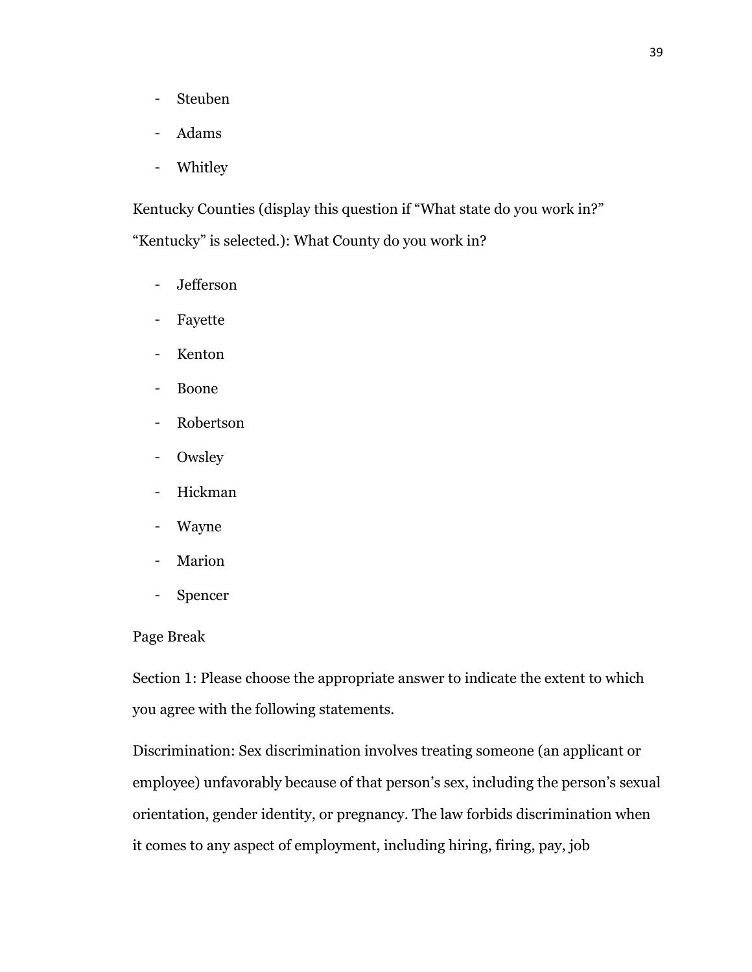- Steuben
- Adams
- Whitley

Kentucky Counties (display this question if "What state do you work in?"

"Kentucky" is selected.): What County do you work in?

- Jefferson
- Fayette
- Kenton
- Boone
- Robertson
- Owsley
- Hickman
- Wayne
- Marion
- Spencer

# Page Break

Section 1: Please choose the appropriate answer to indicate the extent to which you agree with the following statements.

Discrimination: Sex discrimination involves treating someone (an applicant or employee) unfavorably because of that person's sex, including the person's sexual orientation, gender identity, or pregnancy. The law forbids discrimination when it comes to any aspect of employment, including hiring, firing, pay, job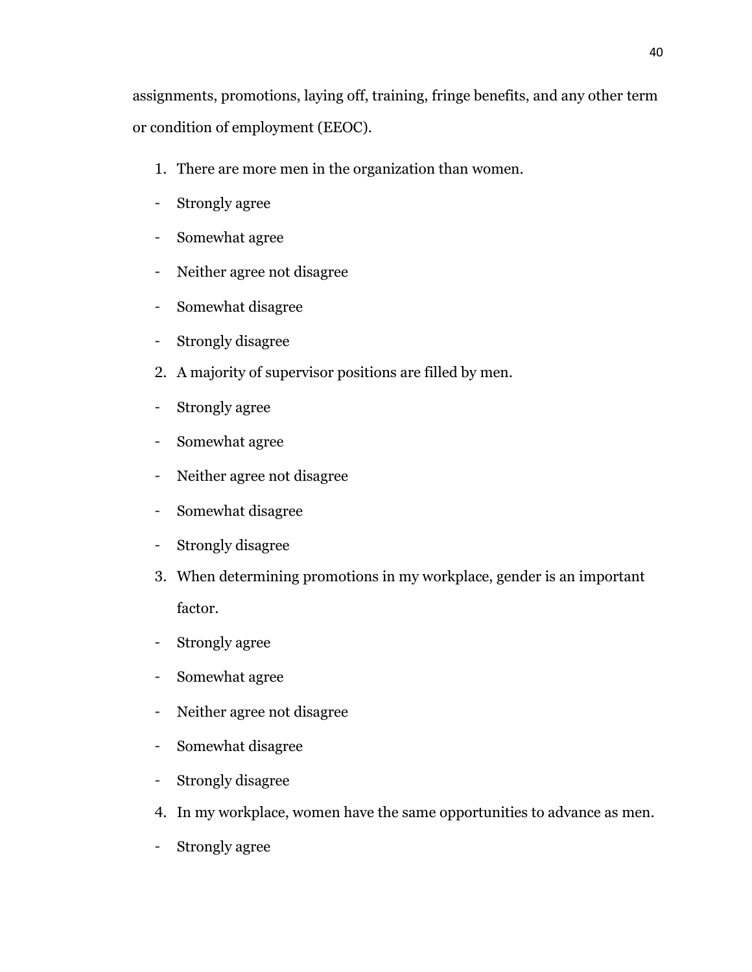assignments, promotions, laying off, training, fringe benefits, and any other term or condition of employment (EEOC).

- 1. There are more men in the organization than women.
- Strongly agree
- Somewhat agree
- Neither agree not disagree
- Somewhat disagree
- Strongly disagree
- 2. A majority of supervisor positions are filled by men.
- Strongly agree
- Somewhat agree
- Neither agree not disagree
- Somewhat disagree
- Strongly disagree
- 3. When determining promotions in my workplace, gender is an important factor.
- Strongly agree
- Somewhat agree
- Neither agree not disagree
- Somewhat disagree
- Strongly disagree
- 4. In my workplace, women have the same opportunities to advance as men.
- Strongly agree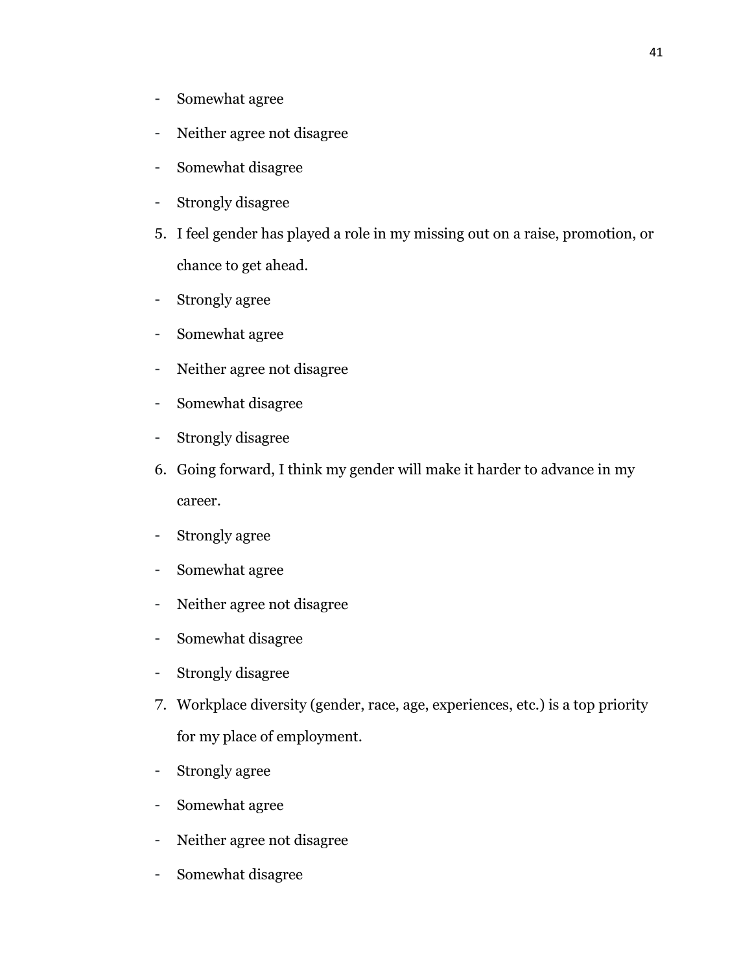- Somewhat agree
- Neither agree not disagree
- Somewhat disagree
- Strongly disagree
- 5. I feel gender has played a role in my missing out on a raise, promotion, or chance to get ahead.
- Strongly agree
- Somewhat agree
- Neither agree not disagree
- Somewhat disagree
- Strongly disagree
- 6. Going forward, I think my gender will make it harder to advance in my career.
- Strongly agree
- Somewhat agree
- Neither agree not disagree
- Somewhat disagree
- Strongly disagree
- 7. Workplace diversity (gender, race, age, experiences, etc.) is a top priority for my place of employment.
- Strongly agree
- Somewhat agree
- Neither agree not disagree
- Somewhat disagree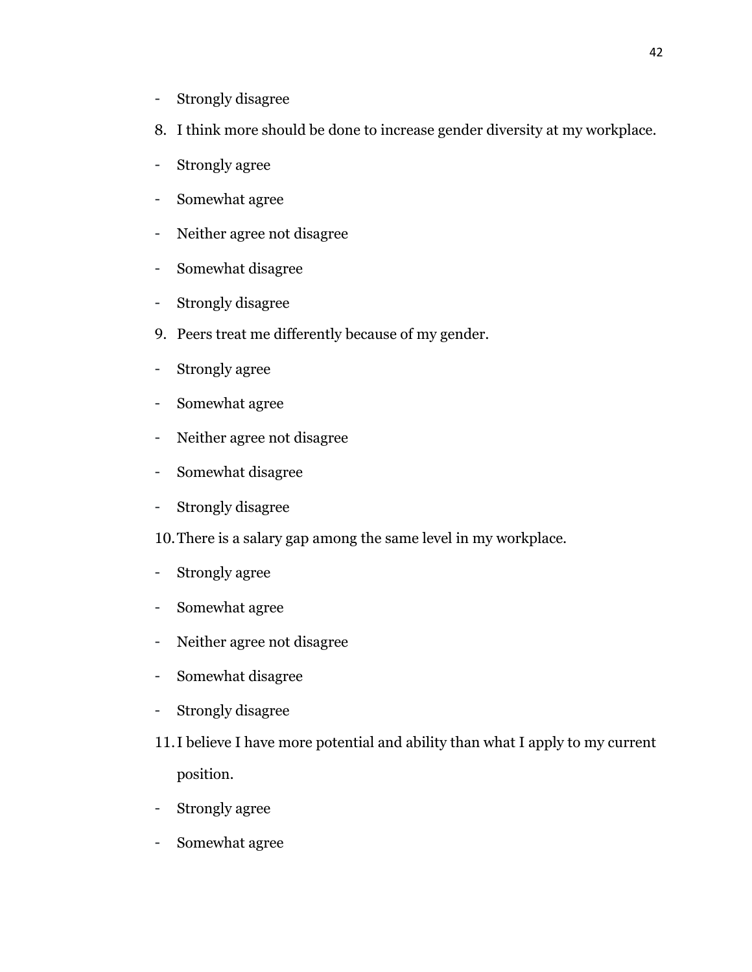- Strongly disagree
- 8. I think more should be done to increase gender diversity at my workplace.
- Strongly agree
- Somewhat agree
- Neither agree not disagree
- Somewhat disagree
- Strongly disagree
- 9. Peers treat me differently because of my gender.
- Strongly agree
- Somewhat agree
- Neither agree not disagree
- Somewhat disagree
- Strongly disagree
- 10.There is a salary gap among the same level in my workplace.
- Strongly agree
- Somewhat agree
- Neither agree not disagree
- Somewhat disagree
- Strongly disagree
- 11.I believe I have more potential and ability than what I apply to my current position.
- Strongly agree
- Somewhat agree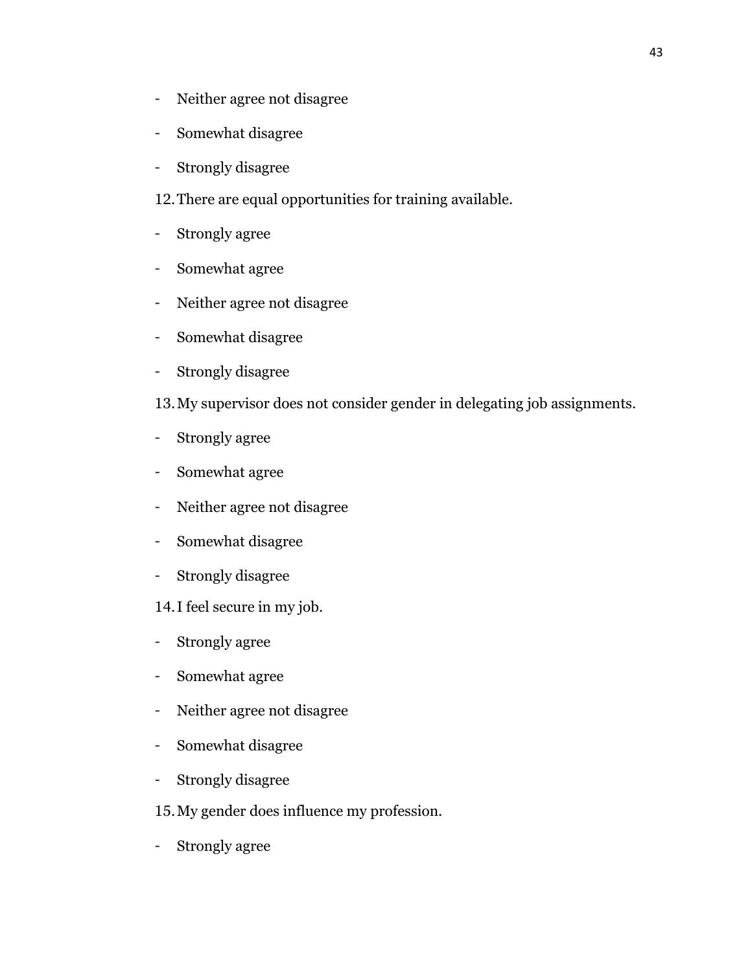- Neither agree not disagree
- Somewhat disagree
- Strongly disagree
- 12.There are equal opportunities for training available.
- Strongly agree
- Somewhat agree
- Neither agree not disagree
- Somewhat disagree
- Strongly disagree
- 13.My supervisor does not consider gender in delegating job assignments.
- Strongly agree
- Somewhat agree
- Neither agree not disagree
- Somewhat disagree
- Strongly disagree

14.I feel secure in my job.

- Strongly agree
- Somewhat agree
- Neither agree not disagree
- Somewhat disagree
- Strongly disagree
- 15.My gender does influence my profession.
- Strongly agree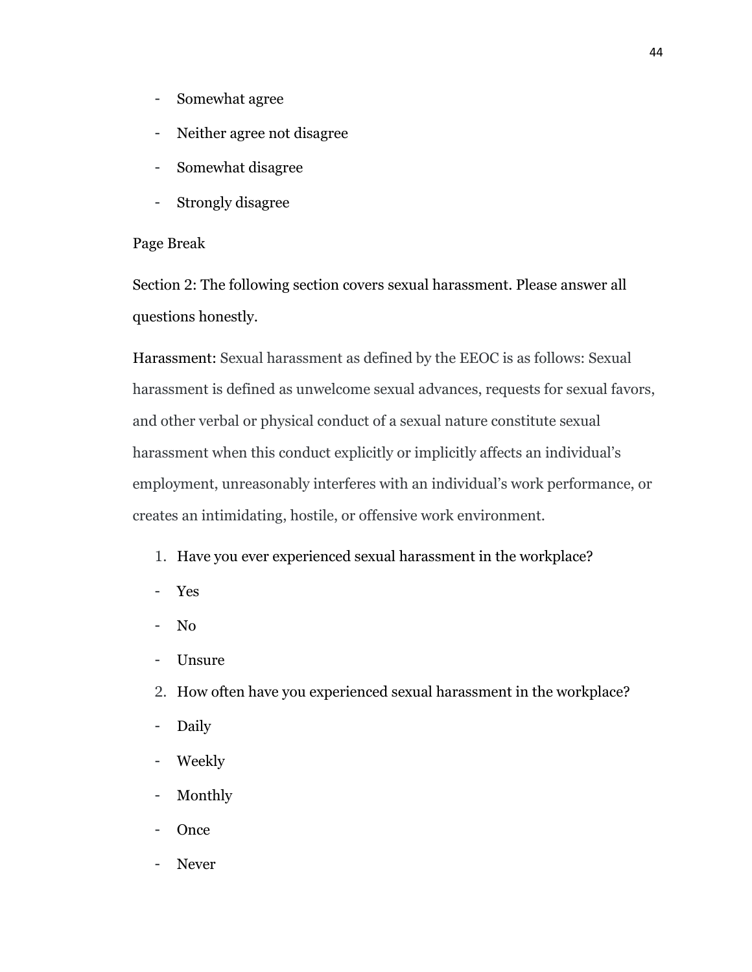- Somewhat agree
- Neither agree not disagree
- Somewhat disagree
- Strongly disagree

#### Page Break

Section 2: The following section covers sexual harassment. Please answer all questions honestly.

Harassment: Sexual harassment as defined by the EEOC is as follows: Sexual harassment is defined as unwelcome sexual advances, requests for sexual favors, and other verbal or physical conduct of a sexual nature constitute sexual harassment when this conduct explicitly or implicitly affects an individual's employment, unreasonably interferes with an individual's work performance, or creates an intimidating, hostile, or offensive work environment.

- 1. Have you ever experienced sexual harassment in the workplace?
- Yes
- No
- Unsure
- 2. How often have you experienced sexual harassment in the workplace?
- Daily
- Weekly
- Monthly
- Once
- Never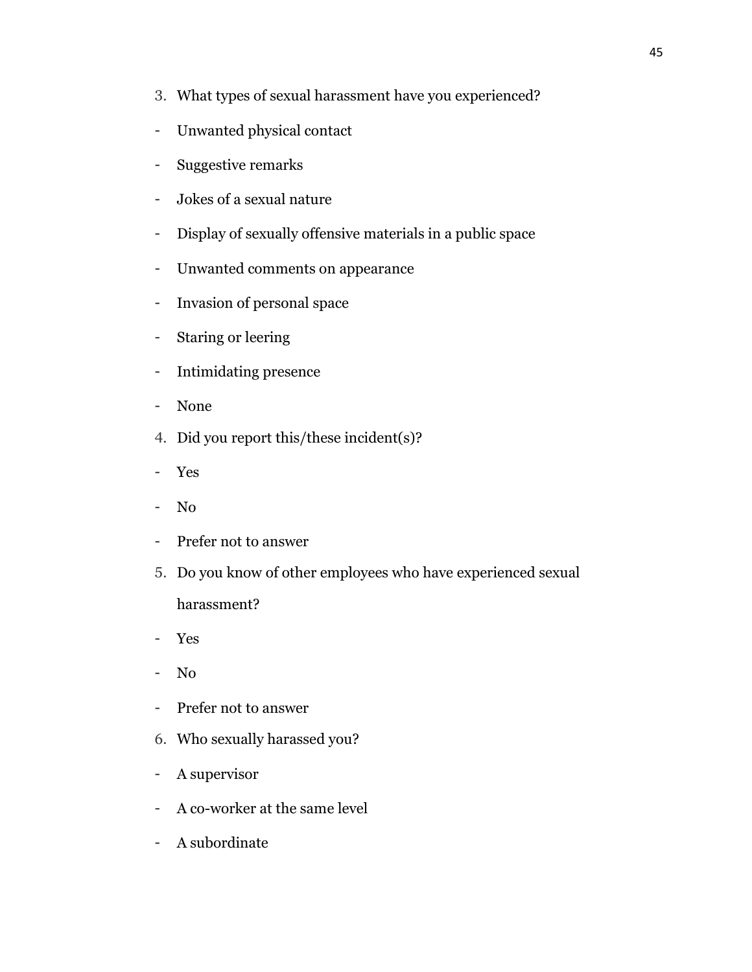- 3. What types of sexual harassment have you experienced?
- Unwanted physical contact
- Suggestive remarks
- Jokes of a sexual nature
- Display of sexually offensive materials in a public space
- Unwanted comments on appearance
- Invasion of personal space
- Staring or leering
- Intimidating presence
- None
- 4. Did you report this/these incident(s)?
- Yes
- No
- Prefer not to answer
- 5. Do you know of other employees who have experienced sexual harassment?
- Yes
- No
- Prefer not to answer
- 6. Who sexually harassed you?
- A supervisor
- A co-worker at the same level
- A subordinate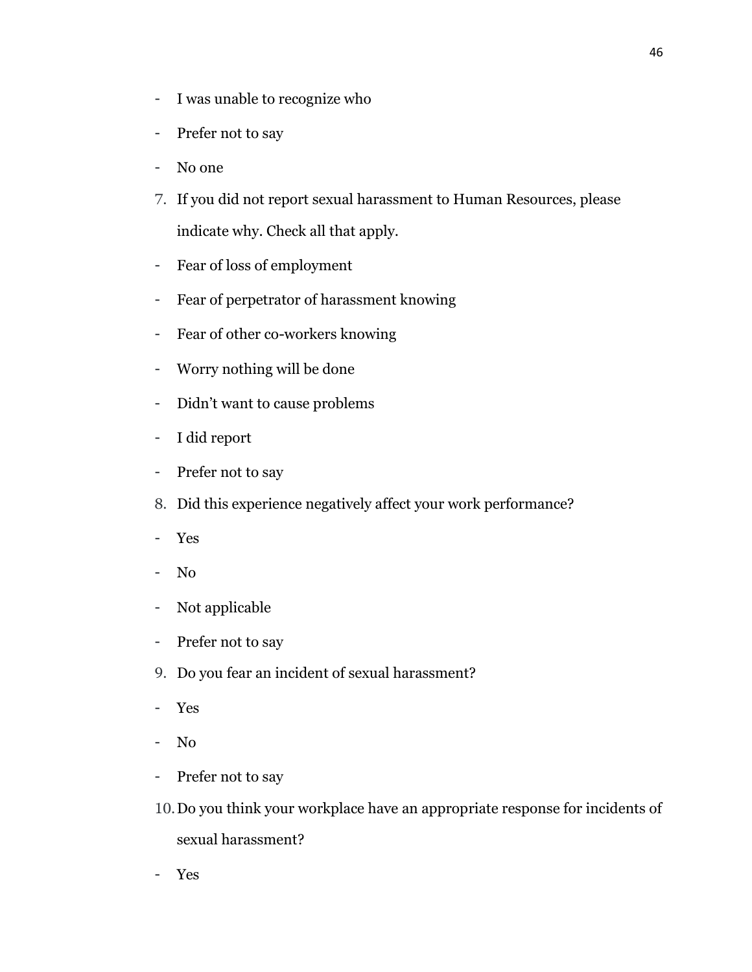- I was unable to recognize who
- Prefer not to say
- No one
- 7. If you did not report sexual harassment to Human Resources, please indicate why. Check all that apply.
- Fear of loss of employment
- Fear of perpetrator of harassment knowing
- Fear of other co-workers knowing
- Worry nothing will be done
- Didn't want to cause problems
- I did report
- Prefer not to say
- 8. Did this experience negatively affect your work performance?
- Yes
- No
- Not applicable
- Prefer not to say
- 9. Do you fear an incident of sexual harassment?
- Yes
- No
- Prefer not to say
- 10.Do you think your workplace have an appropriate response for incidents of sexual harassment?
- Yes